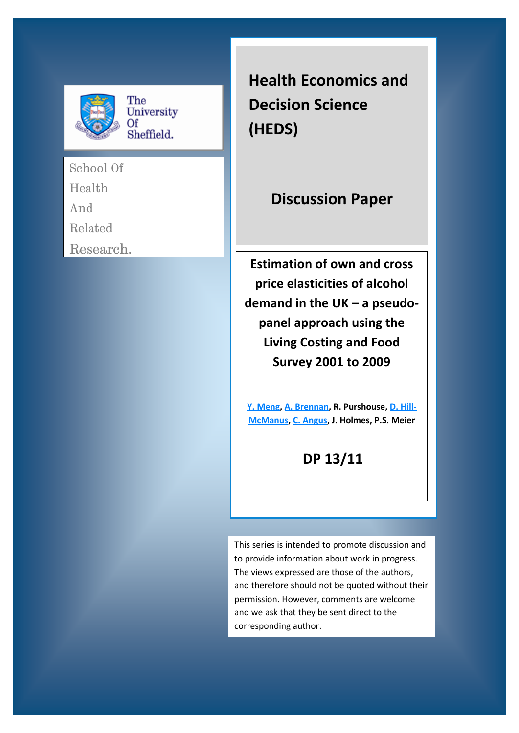

School Of

Health

And

Related

Research.

**Health Economics and Decision Science (HEDS)**

# **Discussion Paper**

 **of DP Survey 2001 to 2009 Estimation of own and cross price elasticities of alcohol demand in the UK – a pseudopanel approach using the Living Costing and Food** 

**[Y. Meng,](http://www.shef.ac.uk/scharr/sections/heds/staff/meng_y) [A. Brennan,](http://www.shef.ac.uk/scharr/sections/heds/staff/brennan_a) R. Purshouse, [D. Hill-](http://www.shef.ac.uk/scharr/sections/heds/staff/hill_d)[McManus,](http://www.shef.ac.uk/scharr/sections/heds/staff/hill_d) [C. Angus,](http://www.shef.ac.uk/scharr/sections/heds/staff/angus_c) J. Holmes, P.S. Meier**

## **DP 13/11**

This series is intended to promote discussion and to provide information about work in progress. The views expressed are those of the authors, and therefore should not be quoted without their permission. However, comments are welcome and we ask that they be sent direct to the corresponding author.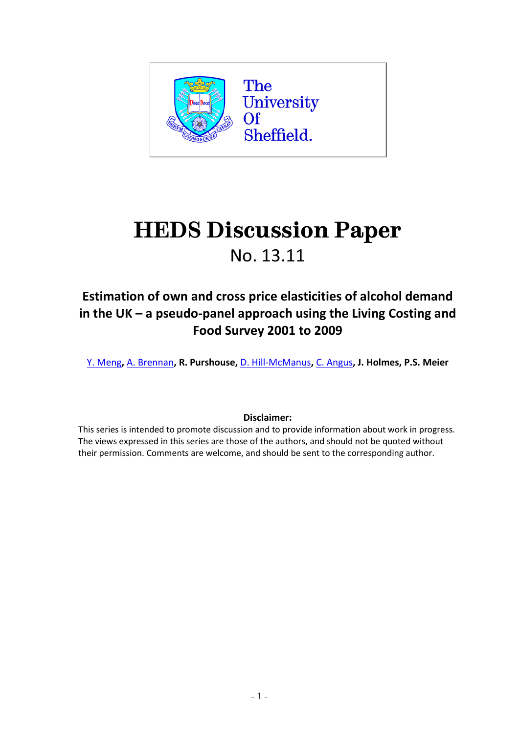

# **HEDS Discussion Paper**  No. 13.11

## **Estimation of own and cross price elasticities of alcohol demand in the UK – a pseudo-panel approach using the Living Costing and Food Survey 2001 to 2009**

[Y. Meng](http://www.shef.ac.uk/scharr/sections/heds/staff/meng_y)**,** [A. Brennan](http://www.shef.ac.uk/scharr/sections/heds/staff/brennan_a)**, R. Purshouse,** [D. Hill-McManus](http://www.shef.ac.uk/scharr/sections/heds/staff/hill_d)**,** [C. Angus](http://www.shef.ac.uk/scharr/sections/heds/staff/angus_c)**, J. Holmes, P.S. Meier**

### **Disclaimer:**

This series is intended to promote discussion and to provide information about work in progress. The views expressed in this series are those of the authors, and should not be quoted without their permission. Comments are welcome, and should be sent to the corresponding author.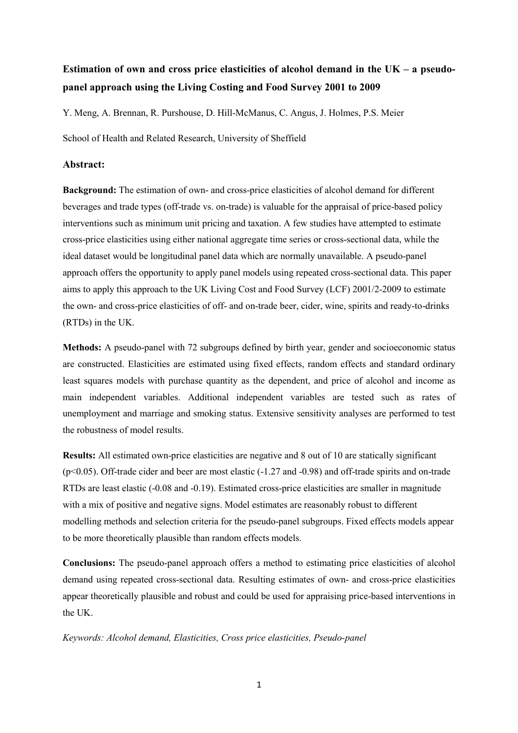## **Estimation of own and cross price elasticities of alcohol demand in the UK – a pseudopanel approach using the Living Costing and Food Survey 2001 to 2009**

Y. Meng, A. Brennan, R. Purshouse, D. Hill-McManus, C. Angus, J. Holmes, P.S. Meier

School of Health and Related Research, University of Sheffield

#### **Abstract:**

**Background:** The estimation of own- and cross-price elasticities of alcohol demand for different beverages and trade types (off-trade vs. on-trade) is valuable for the appraisal of price-based policy interventions such as minimum unit pricing and taxation. A few studies have attempted to estimate cross-price elasticities using either national aggregate time series or cross-sectional data, while the ideal dataset would be longitudinal panel data which are normally unavailable. A pseudo-panel approach offers the opportunity to apply panel models using repeated cross-sectional data. This paper aims to apply this approach to the UK Living Cost and Food Survey (LCF) 2001/2-2009 to estimate the own- and cross-price elasticities of off- and on-trade beer, cider, wine, spirits and ready-to-drinks (RTDs) in the UK.

**Methods:** A pseudo-panel with 72 subgroups defined by birth year, gender and socioeconomic status are constructed. Elasticities are estimated using fixed effects, random effects and standard ordinary least squares models with purchase quantity as the dependent, and price of alcohol and income as main independent variables. Additional independent variables are tested such as rates of unemployment and marriage and smoking status. Extensive sensitivity analyses are performed to test the robustness of model results.

**Results:** All estimated own-price elasticities are negative and 8 out of 10 are statically significant (p<0.05). Off-trade cider and beer are most elastic (-1.27 and -0.98) and off-trade spirits and on-trade RTDs are least elastic (-0.08 and -0.19). Estimated cross-price elasticities are smaller in magnitude with a mix of positive and negative signs. Model estimates are reasonably robust to different modelling methods and selection criteria for the pseudo-panel subgroups. Fixed effects models appear to be more theoretically plausible than random effects models.

**Conclusions:** The pseudo-panel approach offers a method to estimating price elasticities of alcohol demand using repeated cross-sectional data. Resulting estimates of own- and cross-price elasticities appear theoretically plausible and robust and could be used for appraising price-based interventions in the UK.

*Keywords: Alcohol demand, Elasticities, Cross price elasticities, Pseudo-panel*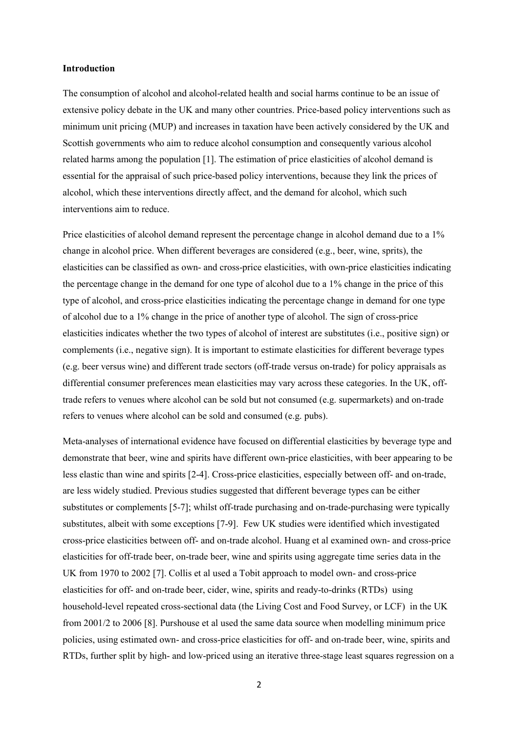#### **Introduction**

The consumption of alcohol and alcohol-related health and social harms continue to be an issue of extensive policy debate in the UK and many other countries. Price-based policy interventions such as minimum unit pricing (MUP) and increases in taxation have been actively considered by the UK and Scottish governments who aim to reduce alcohol consumption and consequently various alcohol related harms among the population [1]. The estimation of price elasticities of alcohol demand is essential for the appraisal of such price-based policy interventions, because they link the prices of alcohol, which these interventions directly affect, and the demand for alcohol, which such interventions aim to reduce.

Price elasticities of alcohol demand represent the percentage change in alcohol demand due to a 1% change in alcohol price. When different beverages are considered (e.g., beer, wine, sprits), the elasticities can be classified as own- and cross-price elasticities, with own-price elasticities indicating the percentage change in the demand for one type of alcohol due to a 1% change in the price of this type of alcohol, and cross-price elasticities indicating the percentage change in demand for one type of alcohol due to a 1% change in the price of another type of alcohol. The sign of cross-price elasticities indicates whether the two types of alcohol of interest are substitutes (i.e., positive sign) or complements (i.e., negative sign). It is important to estimate elasticities for different beverage types (e.g. beer versus wine) and different trade sectors (off-trade versus on-trade) for policy appraisals as differential consumer preferences mean elasticities may vary across these categories. In the UK, offtrade refers to venues where alcohol can be sold but not consumed (e.g. supermarkets) and on-trade refers to venues where alcohol can be sold and consumed (e.g. pubs).

Meta-analyses of international evidence have focused on differential elasticities by beverage type and demonstrate that beer, wine and spirits have different own-price elasticities, with beer appearing to be less elastic than wine and spirits [2-4]. Cross-price elasticities, especially between off- and on-trade, are less widely studied. Previous studies suggested that different beverage types can be either substitutes or complements [5-7]; whilst off-trade purchasing and on-trade-purchasing were typically substitutes, albeit with some exceptions [7-9]. Few UK studies were identified which investigated cross-price elasticities between off- and on-trade alcohol. Huang et al examined own- and cross-price elasticities for off-trade beer, on-trade beer, wine and spirits using aggregate time series data in the UK from 1970 to 2002 [7]. Collis et al used a Tobit approach to model own- and cross-price elasticities for off- and on-trade beer, cider, wine, spirits and ready-to-drinks (RTDs) using household-level repeated cross-sectional data (the Living Cost and Food Survey, or LCF) in the UK from 2001/2 to 2006 [8]. Purshouse et al used the same data source when modelling minimum price policies, using estimated own- and cross-price elasticities for off- and on-trade beer, wine, spirits and RTDs, further split by high- and low-priced using an iterative three-stage least squares regression on a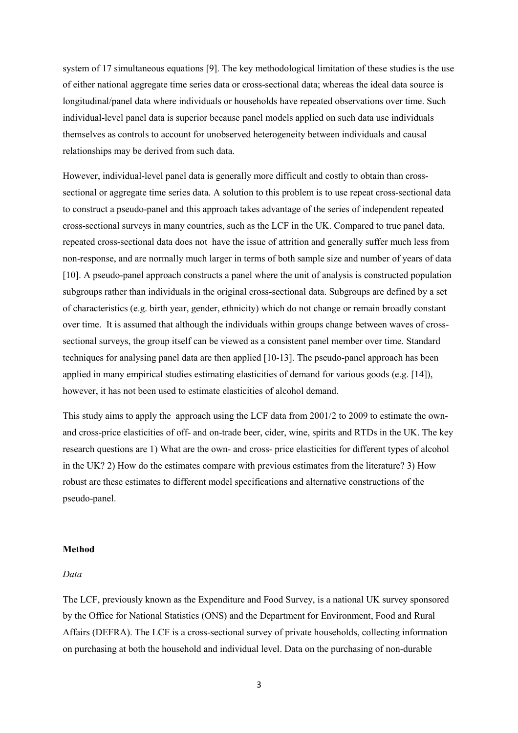system of 17 simultaneous equations [9]. The key methodological limitation of these studies is the use of either national aggregate time series data or cross-sectional data; whereas the ideal data source is longitudinal/panel data where individuals or households have repeated observations over time. Such individual-level panel data is superior because panel models applied on such data use individuals themselves as controls to account for unobserved heterogeneity between individuals and causal relationships may be derived from such data.

However, individual-level panel data is generally more difficult and costly to obtain than crosssectional or aggregate time series data. A solution to this problem is to use repeat cross-sectional data to construct a pseudo-panel and this approach takes advantage of the series of independent repeated cross-sectional surveys in many countries, such as the LCF in the UK. Compared to true panel data, repeated cross-sectional data does not have the issue of attrition and generally suffer much less from non-response, and are normally much larger in terms of both sample size and number of years of data [10]. A pseudo-panel approach constructs a panel where the unit of analysis is constructed population subgroups rather than individuals in the original cross-sectional data. Subgroups are defined by a set of characteristics (e.g. birth year, gender, ethnicity) which do not change or remain broadly constant over time. It is assumed that although the individuals within groups change between waves of crosssectional surveys, the group itself can be viewed as a consistent panel member over time. Standard techniques for analysing panel data are then applied [10-13]. The pseudo-panel approach has been applied in many empirical studies estimating elasticities of demand for various goods (e.g. [14]), however, it has not been used to estimate elasticities of alcohol demand.

This study aims to apply the approach using the LCF data from 2001/2 to 2009 to estimate the ownand cross-price elasticities of off- and on-trade beer, cider, wine, spirits and RTDs in the UK. The key research questions are 1) What are the own- and cross- price elasticities for different types of alcohol in the UK? 2) How do the estimates compare with previous estimates from the literature? 3) How robust are these estimates to different model specifications and alternative constructions of the pseudo-panel.

#### **Method**

#### *Data*

The LCF, previously known as the Expenditure and Food Survey, is a national UK survey sponsored by the Office for National Statistics (ONS) and the Department for Environment, Food and Rural Affairs (DEFRA). The LCF is a cross-sectional survey of private households, collecting information on purchasing at both the household and individual level. Data on the purchasing of non-durable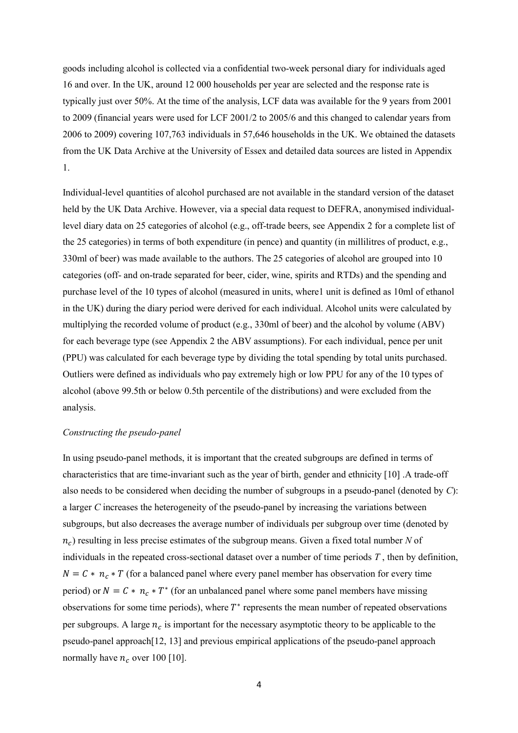goods including alcohol is collected via a confidential two-week personal diary for individuals aged 16 and over. In the UK, around 12 000 households per year are selected and the response rate is typically just over 50%. At the time of the analysis, LCF data was available for the 9 years from 2001 to 2009 (financial years were used for LCF 2001/2 to 2005/6 and this changed to calendar years from 2006 to 2009) covering 107,763 individuals in 57,646 households in the UK. We obtained the datasets from the UK Data Archive at the University of Essex and detailed data sources are listed in Appendix 1.

Individual-level quantities of alcohol purchased are not available in the standard version of the dataset held by the UK Data Archive. However, via a special data request to DEFRA, anonymised individuallevel diary data on 25 categories of alcohol (e.g., off-trade beers, see Appendix 2 for a complete list of the 25 categories) in terms of both expenditure (in pence) and quantity (in millilitres of product, e.g., 330ml of beer) was made available to the authors. The 25 categories of alcohol are grouped into 10 categories (off- and on-trade separated for beer, cider, wine, spirits and RTDs) and the spending and purchase level of the 10 types of alcohol (measured in units, where1 unit is defined as 10ml of ethanol in the UK) during the diary period were derived for each individual. Alcohol units were calculated by multiplying the recorded volume of product (e.g., 330ml of beer) and the alcohol by volume (ABV) for each beverage type (see Appendix 2 the ABV assumptions). For each individual, pence per unit (PPU) was calculated for each beverage type by dividing the total spending by total units purchased. Outliers were defined as individuals who pay extremely high or low PPU for any of the 10 types of alcohol (above 99.5th or below 0.5th percentile of the distributions) and were excluded from the analysis.

#### *Constructing the pseudo-panel*

In using pseudo-panel methods, it is important that the created subgroups are defined in terms of characteristics that are time-invariant such as the year of birth, gender and ethnicity [10] .A trade-off also needs to be considered when deciding the number of subgroups in a pseudo-panel (denoted by *C*): a larger *C* increases the heterogeneity of the pseudo-panel by increasing the variations between subgroups, but also decreases the average number of individuals per subgroup over time (denoted by ) resulting in less precise estimates of the subgroup means. Given a fixed total number *N* of individuals in the repeated cross-sectional dataset over a number of time periods *T* , then by definition,  $N = C * n_c * T$  (for a balanced panel where every panel member has observation for every time period) or  $N = C * n_c * T^*$  (for an unbalanced panel where some panel members have missing observations for some time periods), where  $T^*$  represents the mean number of repeated observations per subgroups. A large  $n_c$  is important for the necessary asymptotic theory to be applicable to the pseudo-panel approach[12, 13] and previous empirical applications of the pseudo-panel approach normally have  $n_c$  over 100 [10].

4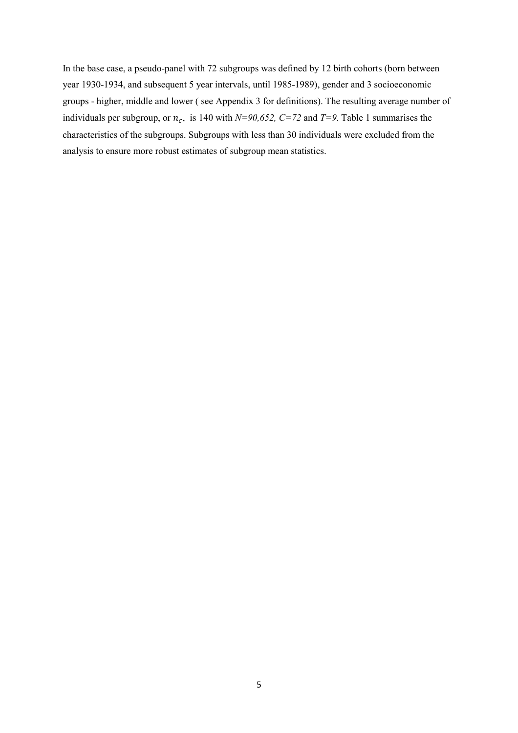In the base case, a pseudo-panel with 72 subgroups was defined by 12 birth cohorts (born between year 1930-1934, and subsequent 5 year intervals, until 1985-1989), gender and 3 socioeconomic groups - higher, middle and lower ( see Appendix 3 for definitions). The resulting average number of individuals per subgroup, or  $n_c$ , is 140 with  $N=90,652$ ,  $C=72$  and  $T=9$ . Table 1 summarises the characteristics of the subgroups. Subgroups with less than 30 individuals were excluded from the analysis to ensure more robust estimates of subgroup mean statistics.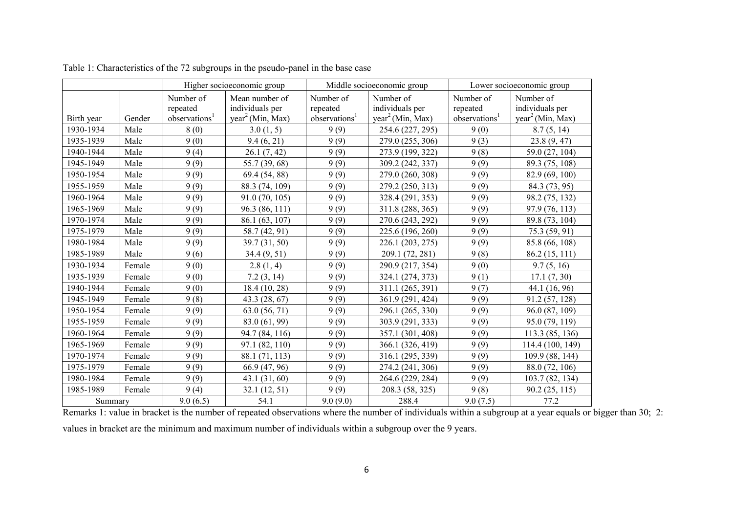|            |        |                                                    | Higher socioeconomic group                                        |                                                    | Middle socioeconomic group<br>Lower socioeconomic group      |                                                    |                                                              |
|------------|--------|----------------------------------------------------|-------------------------------------------------------------------|----------------------------------------------------|--------------------------------------------------------------|----------------------------------------------------|--------------------------------------------------------------|
| Birth year | Gender | Number of<br>repeated<br>observations <sup>1</sup> | Mean number of<br>individuals per<br>year <sup>2</sup> (Min, Max) | Number of<br>repeated<br>observations <sup>1</sup> | Number of<br>individuals per<br>year <sup>2</sup> (Min, Max) | Number of<br>repeated<br>observations <sup>1</sup> | Number of<br>individuals per<br>year <sup>2</sup> (Min, Max) |
| 1930-1934  | Male   | 8(0)                                               | 3.0(1, 5)                                                         | 9(9)                                               | 254.6 (227, 295)                                             | 9(0)                                               | 8.7(5, 14)                                                   |
| 1935-1939  | Male   | 9(0)                                               | 9.4(6, 21)                                                        | 9(9)                                               | 279.0 (255, 306)                                             | 9(3)                                               | 23.8(9, 47)                                                  |
| 1940-1944  | Male   | 9(4)                                               | 26.1(7, 42)                                                       | 9(9)                                               | 273.9 (199, 322)                                             | 9(8)                                               | 59.0 (27, 104)                                               |
| 1945-1949  | Male   | 9(9)                                               | 55.7 (39, 68)                                                     | 9(9)                                               | 309.2 (242, 337)                                             | 9(9)                                               | 89.3 (75, 108)                                               |
| 1950-1954  | Male   | 9(9)                                               | 69.4 (54, 88)                                                     | 9(9)                                               | 279.0 (260, 308)                                             | 9(9)                                               | 82.9 (69, 100)                                               |
| 1955-1959  | Male   | 9(9)                                               | 88.3 (74, 109)                                                    | 9(9)                                               | 279.2 (250, 313)                                             | 9(9)                                               | 84.3 (73, 95)                                                |
| 1960-1964  | Male   | 9(9)                                               | 91.0 (70, 105)                                                    | 9(9)                                               | 328.4 (291, 353)                                             | 9(9)                                               | 98.2 (75, 132)                                               |
| 1965-1969  | Male   | 9(9)                                               | 96.3 (86, 111)                                                    | 9(9)                                               | 311.8 (288, 365)                                             | 9(9)                                               | 97.9 (76, 113)                                               |
| 1970-1974  | Male   | 9(9)                                               | 86.1 (63, 107)                                                    | 9(9)                                               | 270.6 (243, 292)                                             | 9(9)                                               | 89.8 (73, 104)                                               |
| 1975-1979  | Male   | 9(9)                                               | 58.7 (42, 91)                                                     | 9(9)                                               | 225.6 (196, 260)                                             | 9(9)                                               | 75.3 (59, 91)                                                |
| 1980-1984  | Male   | 9(9)                                               | 39.7 (31, 50)                                                     | 9(9)                                               | 226.1 (203, 275)                                             | 9(9)                                               | 85.8 (66, 108)                                               |
| 1985-1989  | Male   | 9(6)                                               | 34.4(9, 51)                                                       | 9(9)                                               | 209.1 (72, 281)                                              | 9(8)                                               | 86.2 (15, 111)                                               |
| 1930-1934  | Female | 9(0)                                               | 2.8(1, 4)                                                         | 9(9)                                               | 290.9 (217, 354)                                             | 9(0)                                               | 9.7(5, 16)                                                   |
| 1935-1939  | Female | 9(0)                                               | 7.2(3, 14)                                                        | 9(9)                                               | 324.1 (274, 373)                                             | 9(1)                                               | 17.1(7, 30)                                                  |
| 1940-1944  | Female | 9(0)                                               | 18.4 (10, 28)                                                     | 9(9)                                               | 311.1 (265, 391)                                             | 9(7)                                               | 44.1 (16, 96)                                                |
| 1945-1949  | Female | 9(8)                                               | 43.3 (28, 67)                                                     | 9(9)                                               | 361.9 (291, 424)                                             | 9(9)                                               | 91.2 (57, 128)                                               |
| 1950-1954  | Female | 9(9)                                               | 63.0 (56, 71)                                                     | 9(9)                                               | 296.1 (265, 330)                                             | 9(9)                                               | 96.0 (87, 109)                                               |
| 1955-1959  | Female | 9(9)                                               | 83.0 (61, 99)                                                     | 9(9)                                               | 303.9 (291, 333)                                             | 9(9)                                               | 95.0 (79, 119)                                               |
| 1960-1964  | Female | 9(9)                                               | 94.7 (84, 116)                                                    | 9(9)                                               | 357.1 (301, 408)                                             | 9(9)                                               | 113.3 (85, 136)                                              |
| 1965-1969  | Female | 9(9)                                               | 97.1 (82, 110)                                                    | 9(9)                                               | 366.1 (326, 419)                                             | 9(9)                                               | 114.4 (100, 149)                                             |
| 1970-1974  | Female | 9(9)                                               | 88.1 (71, 113)                                                    | 9(9)                                               | 316.1 (295, 339)                                             | 9(9)                                               | 109.9 (88, 144)                                              |
| 1975-1979  | Female | 9(9)                                               | 66.9 (47, 96)                                                     | 9(9)                                               | 274.2 (241, 306)                                             | 9(9)                                               | 88.0 (72, 106)                                               |
| 1980-1984  | Female | 9(9)                                               | 43.1(31,60)                                                       | 9(9)                                               | 264.6 (229, 284)                                             | 9(9)                                               | 103.7 (82, 134)                                              |
| 1985-1989  | Female | 9(4)                                               | 32.1(12, 51)                                                      | 9(9)                                               | 208.3 (58, 325)                                              | 9(8)                                               | 90.2(25, 115)                                                |
| Summary    |        | 9.0(6.5)                                           | 54.1                                                              | 9.0(9.0)                                           | 288.4                                                        | 9.0(7.5)                                           | 77.2                                                         |

Table 1: Characteristics of the 72 subgroups in the pseudo-panel in the base case

Remarks 1: value in bracket is the number of repeated observations where the number of individuals within a subgroup at a year equals or bigger than 30; 2:

values in bracket are the minimum and maximum number of individuals within a subgroup over the 9 years.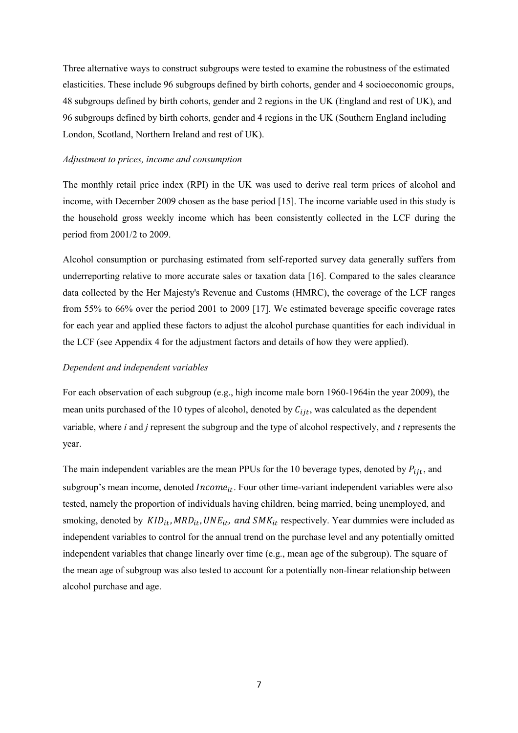Three alternative ways to construct subgroups were tested to examine the robustness of the estimated elasticities. These include 96 subgroups defined by birth cohorts, gender and 4 socioeconomic groups, 48 subgroups defined by birth cohorts, gender and 2 regions in the UK (England and rest of UK), and 96 subgroups defined by birth cohorts, gender and 4 regions in the UK (Southern England including London, Scotland, Northern Ireland and rest of UK).

#### *Adjustment to prices, income and consumption*

The monthly retail price index (RPI) in the UK was used to derive real term prices of alcohol and income, with December 2009 chosen as the base period [15]. The income variable used in this study is the household gross weekly income which has been consistently collected in the LCF during the period from 2001/2 to 2009.

Alcohol consumption or purchasing estimated from self-reported survey data generally suffers from underreporting relative to more accurate sales or taxation data [16]. Compared to the sales clearance data collected by the Her Majesty's Revenue and Customs (HMRC), the coverage of the LCF ranges from 55% to 66% over the period 2001 to 2009 [17]. We estimated beverage specific coverage rates for each year and applied these factors to adjust the alcohol purchase quantities for each individual in the LCF (see Appendix 4 for the adjustment factors and details of how they were applied).

#### *Dependent and independent variables*

For each observation of each subgroup (e.g., high income male born 1960-1964in the year 2009), the mean units purchased of the 10 types of alcohol, denoted by  $C_{ijt}$ , was calculated as the dependent variable, where *i* and *j* represent the subgroup and the type of alcohol respectively, and *t* represents the year.

The main independent variables are the mean PPUs for the 10 beverage types, denoted by  $P_{ijt}$ , and subgroup's mean income, denoted  $Income_{it}$ . Four other time-variant independent variables were also tested, namely the proportion of individuals having children, being married, being unemployed, and smoking, denoted by  $KID_{it}$ ,  $MRD_{it}$ ,  $UNE_{it}$ , and  $SMK_{it}$  respectively. Year dummies were included as independent variables to control for the annual trend on the purchase level and any potentially omitted independent variables that change linearly over time (e.g., mean age of the subgroup). The square of the mean age of subgroup was also tested to account for a potentially non-linear relationship between alcohol purchase and age.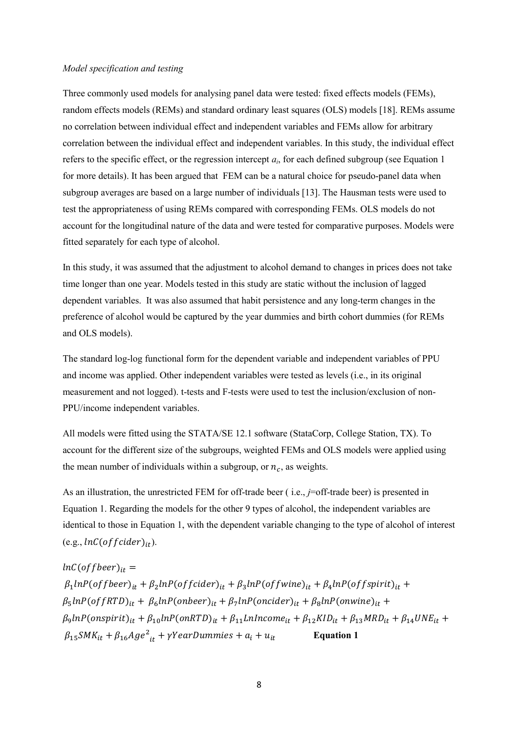#### *Model specification and testing*

Three commonly used models for analysing panel data were tested: fixed effects models (FEMs), random effects models (REMs) and standard ordinary least squares (OLS) models [18]. REMs assume no correlation between individual effect and independent variables and FEMs allow for arbitrary correlation between the individual effect and independent variables. In this study, the individual effect refers to the specific effect, or the regression intercept  $a_i$ , for each defined subgroup (see Equation 1 for more details). It has been argued that FEM can be a natural choice for pseudo-panel data when subgroup averages are based on a large number of individuals [13]. The Hausman tests were used to test the appropriateness of using REMs compared with corresponding FEMs. OLS models do not account for the longitudinal nature of the data and were tested for comparative purposes. Models were fitted separately for each type of alcohol.

In this study, it was assumed that the adjustment to alcohol demand to changes in prices does not take time longer than one year. Models tested in this study are static without the inclusion of lagged dependent variables. It was also assumed that habit persistence and any long-term changes in the preference of alcohol would be captured by the year dummies and birth cohort dummies (for REMs and OLS models).

The standard log-log functional form for the dependent variable and independent variables of PPU and income was applied. Other independent variables were tested as levels (i.e., in its original measurement and not logged). t-tests and F-tests were used to test the inclusion/exclusion of non-PPU/income independent variables.

All models were fitted using the STATA/SE 12.1 software (StataCorp, College Station, TX). To account for the different size of the subgroups, weighted FEMs and OLS models were applied using the mean number of individuals within a subgroup, or  $n_c$ , as weights.

As an illustration, the unrestricted FEM for off-trade beer ( i.e., *j*=off-trade beer) is presented in Equation 1. Regarding the models for the other 9 types of alcohol, the independent variables are identical to those in Equation 1, with the dependent variable changing to the type of alcohol of interest  $(e.g., lnC(offcider)_{it}).$ 

 $lnC($  of f beer)<sub>it</sub> =  $\beta_1$ lnP(offbeer)<sub>it</sub> +  $\beta_2$ lnP(offcider)<sub>it</sub> +  $\beta_3$ lnP(offwine)<sub>it</sub> +  $\beta_4$ lnP(offspirit)<sub>it</sub> +  $\beta_5 lnP(offRTD)_{it} + \beta_6 lnP(onbeer)_{it} + \beta_7 lnP(oncider)_{it} + \beta_8 lnP(onwing)_{it} +$  $\beta_9$ lnP(onspirit) $_{it}$  +  $\beta_{10}$ lnP(onRTD) $_{it}$  +  $\beta_{11}$ LnIncome $_{it}$  +  $\beta_{12}$ KID $_{it}$  +  $\beta_{13}$ MRD $_{it}$  +  $\beta_{14}$ UNE $_{it}$  +  $\beta_{15}$ SMK<sub>it</sub> +  $\beta_{16}$ Age<sup>2</sup><sub>it</sub> +  $\gamma$ YearDummies +  $a_i$  +  $u_{it}$  Equation 1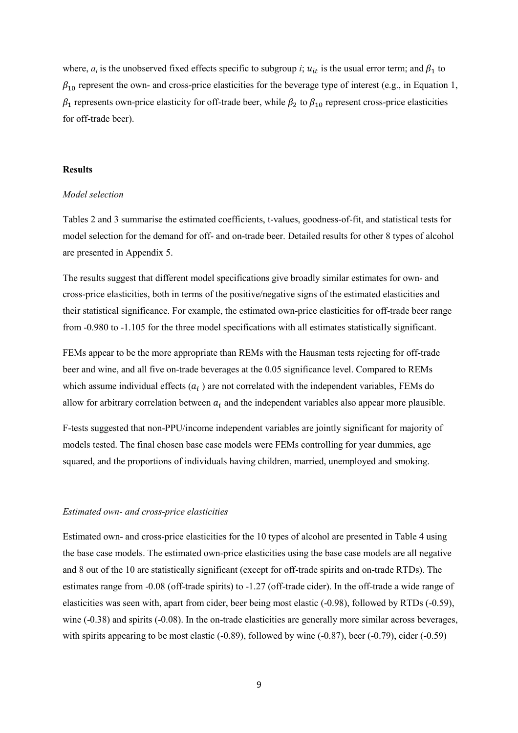where,  $a_i$  is the unobserved fixed effects specific to subgroup *i*;  $u_{it}$  is the usual error term; and  $\beta_1$  to  $\beta_{10}$  represent the own- and cross-price elasticities for the beverage type of interest (e.g., in Equation 1,  $\beta_1$  represents own-price elasticity for off-trade beer, while  $\beta_2$  to  $\beta_{10}$  represent cross-price elasticities for off-trade beer).

#### **Results**

#### *Model selection*

Tables 2 and 3 summarise the estimated coefficients, t-values, goodness-of-fit, and statistical tests for model selection for the demand for off- and on-trade beer. Detailed results for other 8 types of alcohol are presented in Appendix 5.

The results suggest that different model specifications give broadly similar estimates for own- and cross-price elasticities, both in terms of the positive/negative signs of the estimated elasticities and their statistical significance. For example, the estimated own-price elasticities for off-trade beer range from -0.980 to -1.105 for the three model specifications with all estimates statistically significant.

FEMs appear to be the more appropriate than REMs with the Hausman tests rejecting for off-trade beer and wine, and all five on-trade beverages at the 0.05 significance level. Compared to REMs which assume individual effects  $(a_i)$  are not correlated with the independent variables, FEMs do allow for arbitrary correlation between  $a_i$  and the independent variables also appear more plausible.

F-tests suggested that non-PPU/income independent variables are jointly significant for majority of models tested. The final chosen base case models were FEMs controlling for year dummies, age squared, and the proportions of individuals having children, married, unemployed and smoking.

#### *Estimated own- and cross-price elasticities*

Estimated own- and cross-price elasticities for the 10 types of alcohol are presented in Table 4 using the base case models. The estimated own-price elasticities using the base case models are all negative and 8 out of the 10 are statistically significant (except for off-trade spirits and on-trade RTDs). The estimates range from -0.08 (off-trade spirits) to -1.27 (off-trade cider). In the off-trade a wide range of elasticities was seen with, apart from cider, beer being most elastic (-0.98), followed by RTDs (-0.59), wine (-0.38) and spirits (-0.08). In the on-trade elasticities are generally more similar across beverages, with spirits appearing to be most elastic (-0.89), followed by wine (-0.87), beer (-0.79), cider (-0.59)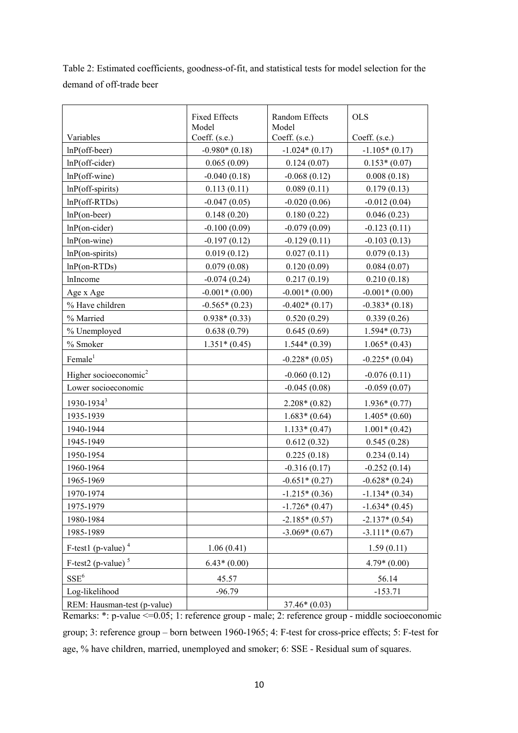Table 2: Estimated coefficients, goodness-of-fit, and statistical tests for model selection for the demand of off-trade beer

|                                   | <b>Fixed Effects</b><br>Model | Random Effects<br>Model | <b>OLS</b>      |
|-----------------------------------|-------------------------------|-------------------------|-----------------|
| Variables                         | Coeff. (s.e.)                 | Coeff. (s.e.)           | Coeff. (s.e.)   |
| $lnP$ (off-beer)                  | $-0.980*(0.18)$               | $-1.024*(0.17)$         | $-1.105*(0.17)$ |
| $lnP$ (off-cider)                 | 0.065(0.09)                   | 0.124(0.07)             | $0.153*(0.07)$  |
| $lnP$ (off-wine)                  | $-0.040(0.18)$                | $-0.068(0.12)$          | 0.008(0.18)     |
| $lnP$ (off-spirits)               | 0.113(0.11)                   | 0.089(0.11)             | 0.179(0.13)     |
| $lnP(off-RTDs)$                   | $-0.047(0.05)$                | $-0.020(0.06)$          | $-0.012(0.04)$  |
| $lnP($ on-beer)                   | 0.148(0.20)                   | 0.180(0.22)             | 0.046(0.23)     |
| $lnP($ on-cider $)$               | $-0.100(0.09)$                | $-0.079(0.09)$          | $-0.123(0.11)$  |
| $lnP$ (on-wine)                   | $-0.197(0.12)$                | $-0.129(0.11)$          | $-0.103(0.13)$  |
| $lnP$ (on-spirits)                | 0.019(0.12)                   | 0.027(0.11)             | 0.079(0.13)     |
| $lnP$ (on-RTDs)                   | 0.079(0.08)                   | 0.120(0.09)             | 0.084(0.07)     |
| lnIncome                          | $-0.074(0.24)$                | 0.217(0.19)             | 0.210(0.18)     |
| Age x Age                         | $-0.001*(0.00)$               | $-0.001*(0.00)$         | $-0.001*(0.00)$ |
| % Have children                   | $-0.565*(0.23)$               | $-0.402*(0.17)$         | $-0.383*(0.18)$ |
| % Married                         | $0.938*(0.33)$                | 0.520(0.29)             | 0.339(0.26)     |
| % Unemployed                      | 0.638(0.79)                   | 0.645(0.69)             | $1.594*(0.73)$  |
| % Smoker                          | $1.351*(0.45)$                | $1.544*(0.39)$          | $1.065*(0.43)$  |
| Female <sup>1</sup>               |                               | $-0.228*(0.05)$         | $-0.225*(0.04)$ |
| Higher socioeconomic <sup>2</sup> |                               | $-0.060(0.12)$          | $-0.076(0.11)$  |
| Lower socioeconomic               |                               | $-0.045(0.08)$          | $-0.059(0.07)$  |
| 1930-1934 <sup>3</sup>            |                               | $2.208*(0.82)$          | $1.936*(0.77)$  |
| 1935-1939                         |                               | $1.683*(0.64)$          | $1.405*(0.60)$  |
| 1940-1944                         |                               | $1.133*(0.47)$          | $1.001*(0.42)$  |
| 1945-1949                         |                               | 0.612(0.32)             | 0.545(0.28)     |
| 1950-1954                         |                               | 0.225(0.18)             | 0.234(0.14)     |
| 1960-1964                         |                               | $-0.316(0.17)$          | $-0.252(0.14)$  |
| 1965-1969                         |                               | $-0.651*(0.27)$         | $-0.628*(0.24)$ |
| 1970-1974                         |                               | $-1.215*(0.36)$         | $-1.134*(0.34)$ |
| 1975-1979                         |                               | $-1.726*(0.47)$         | $-1.634*(0.45)$ |
| 1980-1984                         |                               | $-2.185*(0.57)$         | $-2.137*(0.54)$ |
| 1985-1989                         |                               | $-3.069*(0.67)$         | $-3.111*(0.67)$ |
| F-test1 (p-value) $4$             | 1.06(0.41)                    |                         | 1.59(0.11)      |
| F-test2 (p-value) $5$             | $6.43*(0.00)$                 |                         | $4.79*(0.00)$   |
| $\mathrm{SSE}^6$                  | 45.57                         |                         | 56.14           |
| Log-likelihood                    | $-96.79$                      |                         | $-153.71$       |
| REM: Hausman-test (p-value)       |                               | $37.46*(0.03)$          |                 |

Remarks: \*: p-value <=0.05; 1: reference group - male; 2: reference group - middle socioeconomic group; 3: reference group – born between 1960-1965; 4: F-test for cross-price effects; 5: F-test for age, % have children, married, unemployed and smoker; 6: SSE - Residual sum of squares.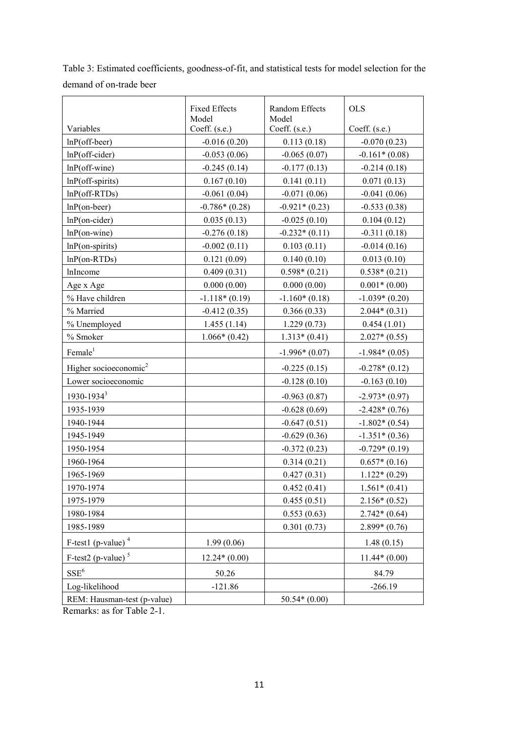|                                   | <b>Fixed Effects</b><br>Model | Random Effects<br>Model | <b>OLS</b>      |
|-----------------------------------|-------------------------------|-------------------------|-----------------|
| Variables                         | Coeff. (s.e.)                 | Coeff. (s.e.)           | Coeff. (s.e.)   |
| $lnP$ (off-beer)                  | $-0.016(0.20)$                | 0.113(0.18)             | $-0.070(0.23)$  |
| $lnP$ (off-cider)                 | $-0.053(0.06)$                | $-0.065(0.07)$          | $-0.161*(0.08)$ |
| $lnP$ (off-wine)                  | $-0.245(0.14)$                | $-0.177(0.13)$          | $-0.214(0.18)$  |
| $lnP$ (off-spirits)               | 0.167(0.10)                   | 0.141(0.11)             | 0.071(0.13)     |
| $lnP(off-RTDs)$                   | $-0.061(0.04)$                | $-0.071(0.06)$          | $-0.041(0.06)$  |
| $lnP($ on-beer)                   | $-0.786*(0.28)$               | $-0.921*(0.23)$         | $-0.533(0.38)$  |
| $lnP($ on-cider $)$               | 0.035(0.13)                   | $-0.025(0.10)$          | 0.104(0.12)     |
| $lnP$ (on-wine)                   | $-0.276(0.18)$                | $-0.232*(0.11)$         | $-0.311(0.18)$  |
| $lnP$ (on-spirits)                | $-0.002(0.11)$                | 0.103(0.11)             | $-0.014(0.16)$  |
| $lnP($ on-RTDs $)$                | 0.121(0.09)                   | 0.140(0.10)             | 0.013(0.10)     |
| lnIncome                          | 0.409(0.31)                   | $0.598*(0.21)$          | $0.538*(0.21)$  |
| Age x Age                         | 0.000(0.00)                   | 0.000(0.00)             | $0.001*(0.00)$  |
| % Have children                   | $-1.118*(0.19)$               | $-1.160*(0.18)$         | $-1.039*(0.20)$ |
| % Married                         | $-0.412(0.35)$                | 0.366(0.33)             | $2.044*(0.31)$  |
| % Unemployed                      | 1.455(1.14)                   | 1.229(0.73)             | 0.454(1.01)     |
| % Smoker                          | $1.066*(0.42)$                | $1.313*(0.41)$          | $2.027*(0.55)$  |
| Female <sup>1</sup>               |                               | $-1.996*(0.07)$         | $-1.984*(0.05)$ |
| Higher socioeconomic <sup>2</sup> |                               | $-0.225(0.15)$          | $-0.278*(0.12)$ |
| Lower socioeconomic               |                               | $-0.128(0.10)$          | $-0.163(0.10)$  |
| 1930-1934 <sup>3</sup>            |                               | $-0.963(0.87)$          | $-2.973*(0.97)$ |
| 1935-1939                         |                               | $-0.628(0.69)$          | $-2.428*(0.76)$ |
| 1940-1944                         |                               | $-0.647(0.51)$          | $-1.802*(0.54)$ |
| 1945-1949                         |                               | $-0.629(0.36)$          | $-1.351*(0.36)$ |
| 1950-1954                         |                               | $-0.372(0.23)$          | $-0.729*(0.19)$ |
| 1960-1964                         |                               | 0.314(0.21)             | $0.657*(0.16)$  |
| 1965-1969                         |                               | 0.427(0.31)             | $1.122*(0.29)$  |
| 1970-1974                         |                               | 0.452(0.41)             | $1.561*(0.41)$  |
| 1975-1979                         |                               | 0.455(0.51)             | $2.156*(0.52)$  |
| 1980-1984                         |                               | 0.553(0.63)             | $2.742*(0.64)$  |
| 1985-1989                         |                               | 0.301(0.73)             | $2.899*(0.76)$  |
| F-test1 (p-value) $4$             | 1.99(0.06)                    |                         | 1.48(0.15)      |
| F-test2 (p-value) $5$             | $12.24*(0.00)$                |                         | $11.44*(0.00)$  |
| $SSE^6$                           | 50.26                         |                         | 84.79           |
| Log-likelihood                    | $-121.86$                     |                         | $-266.19$       |
| REM: Hausman-test (p-value)       |                               | $50.54*(0.00)$          |                 |

Table 3: Estimated coefficients, goodness-of-fit, and statistical tests for model selection for the demand of on-trade beer

Remarks: as for Table 2-1.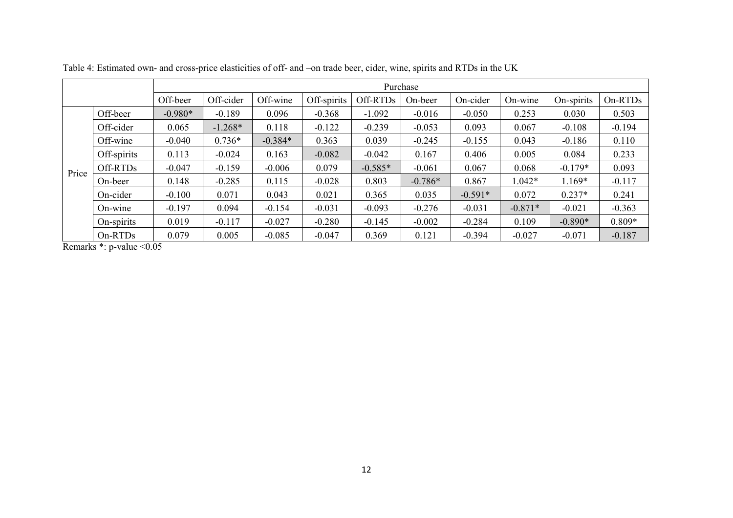|       |             | Purchase  |           |           |             |           |           |           |           |            |          |
|-------|-------------|-----------|-----------|-----------|-------------|-----------|-----------|-----------|-----------|------------|----------|
|       |             | Off-beer  | Off-cider | Off-wine  | Off-spirits | Off-RTDs  | On-beer   | On-cider  | On-wine   | On-spirits | On-RTDs  |
|       | Off-beer    | $-0.980*$ | $-0.189$  | 0.096     | $-0.368$    | $-1.092$  | $-0.016$  | $-0.050$  | 0.253     | 0.030      | 0.503    |
|       | Off-cider   | 0.065     | $-1.268*$ | 0.118     | $-0.122$    | $-0.239$  | $-0.053$  | 0.093     | 0.067     | $-0.108$   | $-0.194$ |
|       | Off-wine    | $-0.040$  | $0.736*$  | $-0.384*$ | 0.363       | 0.039     | $-0.245$  | $-0.155$  | 0.043     | $-0.186$   | 0.110    |
|       | Off-spirits | 0.113     | $-0.024$  | 0.163     | $-0.082$    | $-0.042$  | 0.167     | 0.406     | 0.005     | 0.084      | 0.233    |
| Price | Off-RTDs    | $-0.047$  | $-0.159$  | $-0.006$  | 0.079       | $-0.585*$ | $-0.061$  | 0.067     | 0.068     | $-0.179*$  | 0.093    |
|       | On-beer     | 0.148     | $-0.285$  | 0.115     | $-0.028$    | 0.803     | $-0.786*$ | 0.867     | $1.042*$  | 1.169*     | $-0.117$ |
|       | On-cider    | $-0.100$  | 0.071     | 0.043     | 0.021       | 0.365     | 0.035     | $-0.591*$ | 0.072     | $0.237*$   | 0.241    |
|       | On-wine     | $-0.197$  | 0.094     | $-0.154$  | $-0.031$    | $-0.093$  | $-0.276$  | $-0.031$  | $-0.871*$ | $-0.021$   | $-0.363$ |
|       | On-spirits  | 0.019     | $-0.117$  | $-0.027$  | $-0.280$    | $-0.145$  | $-0.002$  | $-0.284$  | 0.109     | $-0.890*$  | $0.809*$ |
|       | On-RTDs     | 0.079     | 0.005     | $-0.085$  | $-0.047$    | 0.369     | 0.121     | $-0.394$  | $-0.027$  | $-0.071$   | $-0.187$ |

Table 4: Estimated own- and cross-price elasticities of off- and –on trade beer, cider, wine, spirits and RTDs in the UK

Remarks \*: p-value < 0.05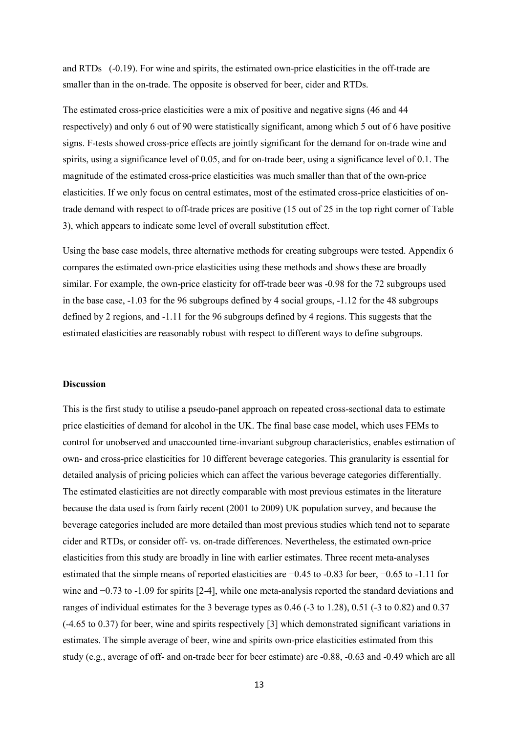and RTDs (-0.19). For wine and spirits, the estimated own-price elasticities in the off-trade are smaller than in the on-trade. The opposite is observed for beer, cider and RTDs.

The estimated cross-price elasticities were a mix of positive and negative signs (46 and 44 respectively) and only 6 out of 90 were statistically significant, among which 5 out of 6 have positive signs. F-tests showed cross-price effects are jointly significant for the demand for on-trade wine and spirits, using a significance level of 0.05, and for on-trade beer, using a significance level of 0.1. The magnitude of the estimated cross-price elasticities was much smaller than that of the own-price elasticities. If we only focus on central estimates, most of the estimated cross-price elasticities of ontrade demand with respect to off-trade prices are positive (15 out of 25 in the top right corner of Table 3), which appears to indicate some level of overall substitution effect.

Using the base case models, three alternative methods for creating subgroups were tested. Appendix 6 compares the estimated own-price elasticities using these methods and shows these are broadly similar. For example, the own-price elasticity for off-trade beer was -0.98 for the 72 subgroups used in the base case, -1.03 for the 96 subgroups defined by 4 social groups, -1.12 for the 48 subgroups defined by 2 regions, and -1.11 for the 96 subgroups defined by 4 regions. This suggests that the estimated elasticities are reasonably robust with respect to different ways to define subgroups.

#### **Discussion**

This is the first study to utilise a pseudo-panel approach on repeated cross-sectional data to estimate price elasticities of demand for alcohol in the UK. The final base case model, which uses FEMs to control for unobserved and unaccounted time-invariant subgroup characteristics, enables estimation of own- and cross-price elasticities for 10 different beverage categories. This granularity is essential for detailed analysis of pricing policies which can affect the various beverage categories differentially. The estimated elasticities are not directly comparable with most previous estimates in the literature because the data used is from fairly recent (2001 to 2009) UK population survey, and because the beverage categories included are more detailed than most previous studies which tend not to separate cider and RTDs, or consider off- vs. on-trade differences. Nevertheless, the estimated own-price elasticities from this study are broadly in line with earlier estimates. Three recent meta-analyses estimated that the simple means of reported elasticities are −0.45 to -0.83 for beer, −0.65 to -1.11 for wine and −0.73 to -1.09 for spirits [2-4], while one meta-analysis reported the standard deviations and ranges of individual estimates for the 3 beverage types as 0.46 (-3 to 1.28), 0.51 (-3 to 0.82) and 0.37 (-4.65 to 0.37) for beer, wine and spirits respectively [3] which demonstrated significant variations in estimates. The simple average of beer, wine and spirits own-price elasticities estimated from this study (e.g., average of off- and on-trade beer for beer estimate) are -0.88, -0.63 and -0.49 which are all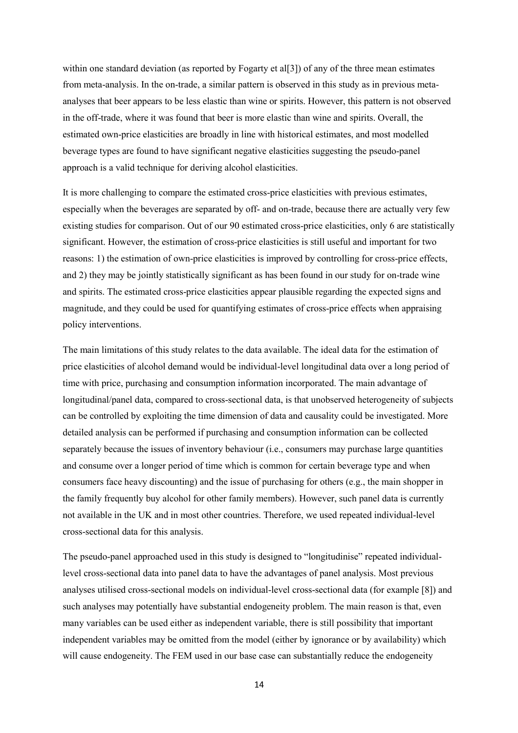within one standard deviation (as reported by Fogarty et al[3]) of any of the three mean estimates from meta-analysis. In the on-trade, a similar pattern is observed in this study as in previous metaanalyses that beer appears to be less elastic than wine or spirits. However, this pattern is not observed in the off-trade, where it was found that beer is more elastic than wine and spirits. Overall, the estimated own-price elasticities are broadly in line with historical estimates, and most modelled beverage types are found to have significant negative elasticities suggesting the pseudo-panel approach is a valid technique for deriving alcohol elasticities.

It is more challenging to compare the estimated cross-price elasticities with previous estimates, especially when the beverages are separated by off- and on-trade, because there are actually very few existing studies for comparison. Out of our 90 estimated cross-price elasticities, only 6 are statistically significant. However, the estimation of cross-price elasticities is still useful and important for two reasons: 1) the estimation of own-price elasticities is improved by controlling for cross-price effects, and 2) they may be jointly statistically significant as has been found in our study for on-trade wine and spirits. The estimated cross-price elasticities appear plausible regarding the expected signs and magnitude, and they could be used for quantifying estimates of cross-price effects when appraising policy interventions.

The main limitations of this study relates to the data available. The ideal data for the estimation of price elasticities of alcohol demand would be individual-level longitudinal data over a long period of time with price, purchasing and consumption information incorporated. The main advantage of longitudinal/panel data, compared to cross-sectional data, is that unobserved heterogeneity of subjects can be controlled by exploiting the time dimension of data and causality could be investigated. More detailed analysis can be performed if purchasing and consumption information can be collected separately because the issues of inventory behaviour (i.e., consumers may purchase large quantities and consume over a longer period of time which is common for certain beverage type and when consumers face heavy discounting) and the issue of purchasing for others (e.g., the main shopper in the family frequently buy alcohol for other family members). However, such panel data is currently not available in the UK and in most other countries. Therefore, we used repeated individual-level cross-sectional data for this analysis.

The pseudo-panel approached used in this study is designed to "longitudinise" repeated individuallevel cross-sectional data into panel data to have the advantages of panel analysis. Most previous analyses utilised cross-sectional models on individual-level cross-sectional data (for example [8]) and such analyses may potentially have substantial endogeneity problem. The main reason is that, even many variables can be used either as independent variable, there is still possibility that important independent variables may be omitted from the model (either by ignorance or by availability) which will cause endogeneity. The FEM used in our base case can substantially reduce the endogeneity

14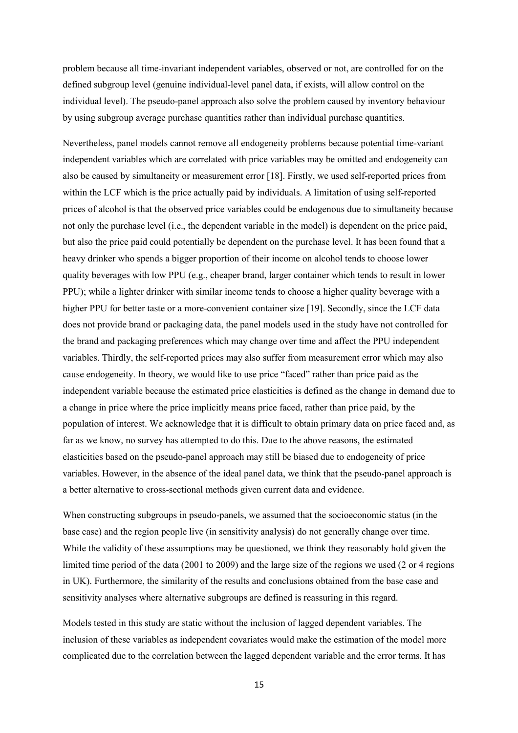problem because all time-invariant independent variables, observed or not, are controlled for on the defined subgroup level (genuine individual-level panel data, if exists, will allow control on the individual level). The pseudo-panel approach also solve the problem caused by inventory behaviour by using subgroup average purchase quantities rather than individual purchase quantities.

Nevertheless, panel models cannot remove all endogeneity problems because potential time-variant independent variables which are correlated with price variables may be omitted and endogeneity can also be caused by simultaneity or measurement error [18]. Firstly, we used self-reported prices from within the LCF which is the price actually paid by individuals. A limitation of using self-reported prices of alcohol is that the observed price variables could be endogenous due to simultaneity because not only the purchase level (i.e., the dependent variable in the model) is dependent on the price paid, but also the price paid could potentially be dependent on the purchase level. It has been found that a heavy drinker who spends a bigger proportion of their income on alcohol tends to choose lower quality beverages with low PPU (e.g., cheaper brand, larger container which tends to result in lower PPU); while a lighter drinker with similar income tends to choose a higher quality beverage with a higher PPU for better taste or a more-convenient container size [19]. Secondly, since the LCF data does not provide brand or packaging data, the panel models used in the study have not controlled for the brand and packaging preferences which may change over time and affect the PPU independent variables. Thirdly, the self-reported prices may also suffer from measurement error which may also cause endogeneity. In theory, we would like to use price "faced" rather than price paid as the independent variable because the estimated price elasticities is defined as the change in demand due to a change in price where the price implicitly means price faced, rather than price paid, by the population of interest. We acknowledge that it is difficult to obtain primary data on price faced and, as far as we know, no survey has attempted to do this. Due to the above reasons, the estimated elasticities based on the pseudo-panel approach may still be biased due to endogeneity of price variables. However, in the absence of the ideal panel data, we think that the pseudo-panel approach is a better alternative to cross-sectional methods given current data and evidence.

When constructing subgroups in pseudo-panels, we assumed that the socioeconomic status (in the base case) and the region people live (in sensitivity analysis) do not generally change over time. While the validity of these assumptions may be questioned, we think they reasonably hold given the limited time period of the data (2001 to 2009) and the large size of the regions we used (2 or 4 regions in UK). Furthermore, the similarity of the results and conclusions obtained from the base case and sensitivity analyses where alternative subgroups are defined is reassuring in this regard.

Models tested in this study are static without the inclusion of lagged dependent variables. The inclusion of these variables as independent covariates would make the estimation of the model more complicated due to the correlation between the lagged dependent variable and the error terms. It has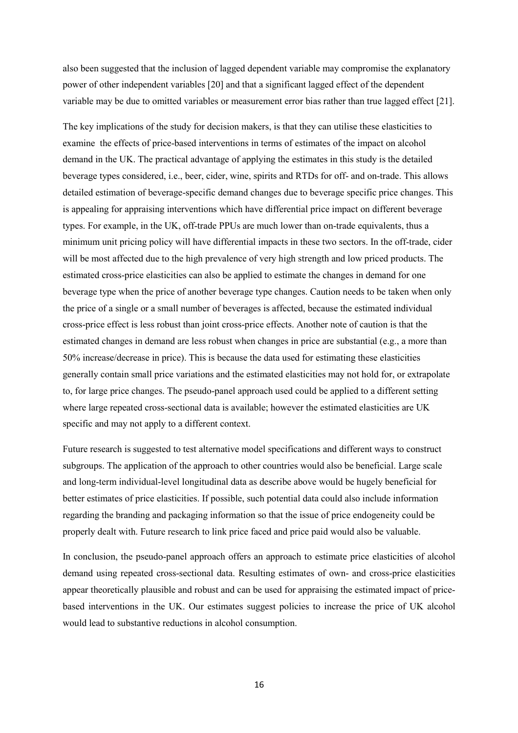also been suggested that the inclusion of lagged dependent variable may compromise the explanatory power of other independent variables [20] and that a significant lagged effect of the dependent variable may be due to omitted variables or measurement error bias rather than true lagged effect [21].

The key implications of the study for decision makers, is that they can utilise these elasticities to examine the effects of price-based interventions in terms of estimates of the impact on alcohol demand in the UK. The practical advantage of applying the estimates in this study is the detailed beverage types considered, i.e., beer, cider, wine, spirits and RTDs for off- and on-trade. This allows detailed estimation of beverage-specific demand changes due to beverage specific price changes. This is appealing for appraising interventions which have differential price impact on different beverage types. For example, in the UK, off-trade PPUs are much lower than on-trade equivalents, thus a minimum unit pricing policy will have differential impacts in these two sectors. In the off-trade, cider will be most affected due to the high prevalence of very high strength and low priced products. The estimated cross-price elasticities can also be applied to estimate the changes in demand for one beverage type when the price of another beverage type changes. Caution needs to be taken when only the price of a single or a small number of beverages is affected, because the estimated individual cross-price effect is less robust than joint cross-price effects. Another note of caution is that the estimated changes in demand are less robust when changes in price are substantial (e.g., a more than 50% increase/decrease in price). This is because the data used for estimating these elasticities generally contain small price variations and the estimated elasticities may not hold for, or extrapolate to, for large price changes. The pseudo-panel approach used could be applied to a different setting where large repeated cross-sectional data is available; however the estimated elasticities are UK specific and may not apply to a different context.

Future research is suggested to test alternative model specifications and different ways to construct subgroups. The application of the approach to other countries would also be beneficial. Large scale and long-term individual-level longitudinal data as describe above would be hugely beneficial for better estimates of price elasticities. If possible, such potential data could also include information regarding the branding and packaging information so that the issue of price endogeneity could be properly dealt with. Future research to link price faced and price paid would also be valuable.

In conclusion, the pseudo-panel approach offers an approach to estimate price elasticities of alcohol demand using repeated cross-sectional data. Resulting estimates of own- and cross-price elasticities appear theoretically plausible and robust and can be used for appraising the estimated impact of pricebased interventions in the UK. Our estimates suggest policies to increase the price of UK alcohol would lead to substantive reductions in alcohol consumption.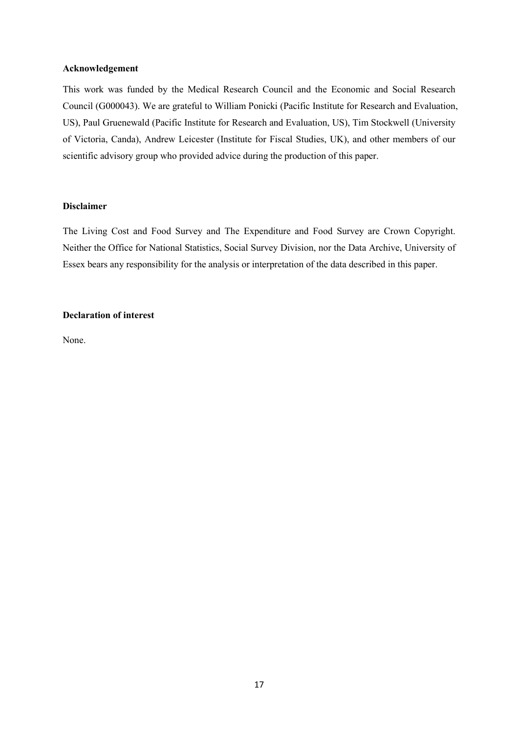#### **Acknowledgement**

This work was funded by the Medical Research Council and the Economic and Social Research Council (G000043). We are grateful to William Ponicki (Pacific Institute for Research and Evaluation, US), Paul Gruenewald (Pacific Institute for Research and Evaluation, US), Tim Stockwell (University of Victoria, Canda), Andrew Leicester (Institute for Fiscal Studies, UK), and other members of our scientific advisory group who provided advice during the production of this paper.

#### **Disclaimer**

The Living Cost and Food Survey and The Expenditure and Food Survey are Crown Copyright. Neither the Office for National Statistics, Social Survey Division, nor the Data Archive, University of Essex bears any responsibility for the analysis or interpretation of the data described in this paper.

#### **Declaration of interest**

None.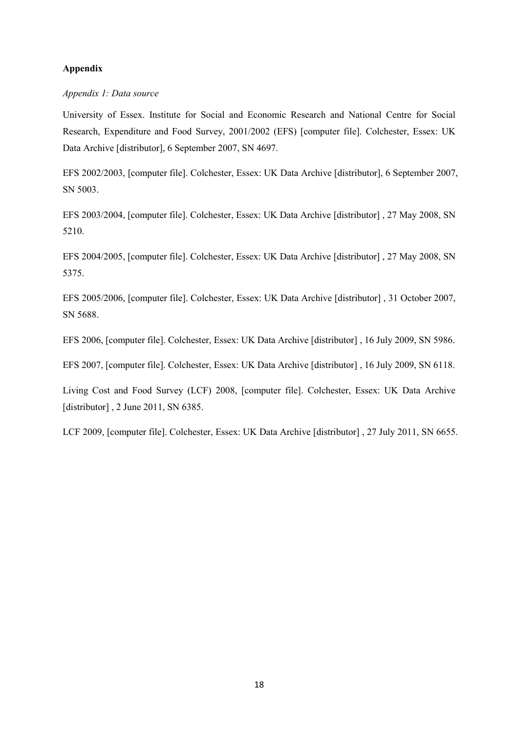#### **Appendix**

#### *Appendix 1: Data source*

University of Essex. Institute for Social and Economic Research and National Centre for Social Research, Expenditure and Food Survey, 2001/2002 (EFS) [computer file]. Colchester, Essex: UK Data Archive [distributor], 6 September 2007, SN 4697.

EFS 2002/2003, [computer file]. Colchester, Essex: UK Data Archive [distributor], 6 September 2007, SN 5003.

EFS 2003/2004, [computer file]. Colchester, Essex: UK Data Archive [distributor] , 27 May 2008, SN 5210.

EFS 2004/2005, [computer file]. Colchester, Essex: UK Data Archive [distributor] , 27 May 2008, SN 5375.

EFS 2005/2006, [computer file]. Colchester, Essex: UK Data Archive [distributor] , 31 October 2007, SN 5688.

EFS 2006, [computer file]. Colchester, Essex: UK Data Archive [distributor] , 16 July 2009, SN 5986.

EFS 2007, [computer file]. Colchester, Essex: UK Data Archive [distributor] , 16 July 2009, SN 6118.

Living Cost and Food Survey (LCF) 2008, [computer file]. Colchester, Essex: UK Data Archive [distributor], 2 June 2011, SN 6385.

LCF 2009, [computer file]. Colchester, Essex: UK Data Archive [distributor], 27 July 2011, SN 6655.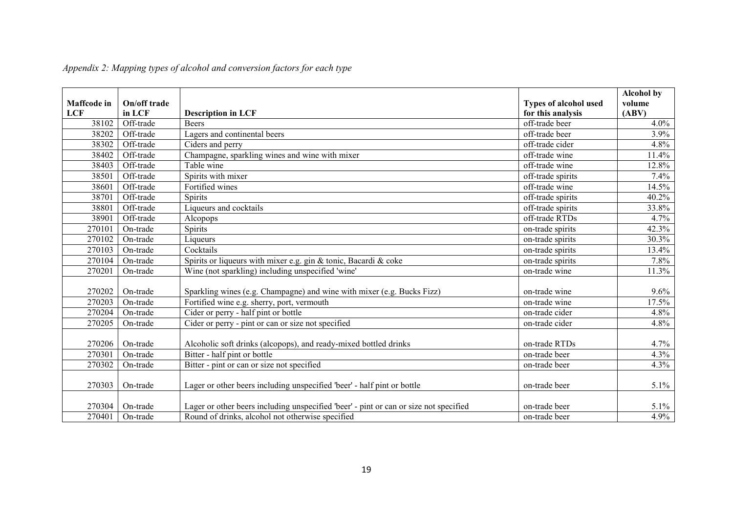| <b>Maffcode</b> in | On/off trade |                                                                                       | <b>Types of alcohol used</b>        | <b>Alcohol by</b><br>volume |
|--------------------|--------------|---------------------------------------------------------------------------------------|-------------------------------------|-----------------------------|
| <b>LCF</b>         | in LCF       | <b>Description in LCF</b>                                                             | for this analysis<br>off-trade beer | (ABV)                       |
| 38102              | Off-trade    | <b>Beers</b>                                                                          |                                     | 4.0%                        |
| 38202              | Off-trade    | Lagers and continental beers                                                          | off-trade beer                      | 3.9%                        |
| 38302              | Off-trade    | Ciders and perry                                                                      | off-trade cider                     | 4.8%                        |
| 38402              | Off-trade    | Champagne, sparkling wines and wine with mixer                                        | off-trade wine                      | 11.4%                       |
| 38403              | Off-trade    | Table wine                                                                            | off-trade wine                      | 12.8%                       |
| 38501              | Off-trade    | Spirits with mixer                                                                    | off-trade spirits                   | 7.4%                        |
| 38601              | Off-trade    | Fortified wines                                                                       | off-trade wine                      | 14.5%                       |
| 38701              | Off-trade    | <b>Spirits</b>                                                                        | off-trade spirits                   | 40.2%                       |
| 38801              | Off-trade    | Liqueurs and cocktails                                                                | off-trade spirits                   | 33.8%                       |
| 38901              | Off-trade    | Alcopops                                                                              | off-trade RTDs                      | 4.7%                        |
| 270101             | On-trade     | <b>Spirits</b>                                                                        | on-trade spirits                    | 42.3%                       |
| 270102             | On-trade     | Liqueurs                                                                              | on-trade spirits                    | 30.3%                       |
| 270103             | On-trade     | Cocktails                                                                             | on-trade spirits                    | 13.4%                       |
| 270104             | On-trade     | Spirits or liqueurs with mixer e.g. gin & tonic, Bacardi & coke                       | on-trade spirits                    | 7.8%                        |
| 270201             | On-trade     | Wine (not sparkling) including unspecified 'wine'                                     | on-trade wine                       | 11.3%                       |
|                    |              |                                                                                       |                                     |                             |
| 270202             | On-trade     | Sparkling wines (e.g. Champagne) and wine with mixer (e.g. Bucks Fizz)                | on-trade wine                       | 9.6%                        |
| 270203             | On-trade     | Fortified wine e.g. sherry, port, vermouth                                            | on-trade wine                       | 17.5%                       |
| 270204             | On-trade     | Cider or perry - half pint or bottle                                                  | on-trade cider                      | 4.8%                        |
| 270205             | On-trade     | Cider or perry - pint or can or size not specified                                    | on-trade cider                      | 4.8%                        |
|                    |              |                                                                                       |                                     |                             |
| 270206             | On-trade     | Alcoholic soft drinks (alcopops), and ready-mixed bottled drinks                      | on-trade RTDs                       | 4.7%                        |
| 270301             | On-trade     | Bitter - half pint or bottle                                                          | on-trade beer                       | 4.3%                        |
| 270302             | On-trade     | Bitter - pint or can or size not specified                                            | on-trade beer                       | 4.3%                        |
| 270303             | On-trade     | Lager or other beers including unspecified 'beer' - half pint or bottle               | on-trade beer                       | 5.1%                        |
| 270304             | On-trade     | Lager or other beers including unspecified 'beer' - pint or can or size not specified | on-trade beer                       | 5.1%                        |
| 270401             | On-trade     | Round of drinks, alcohol not otherwise specified                                      | on-trade beer                       | 4.9%                        |

## *Appendix 2: Mapping types of alcohol and conversion factors for each type*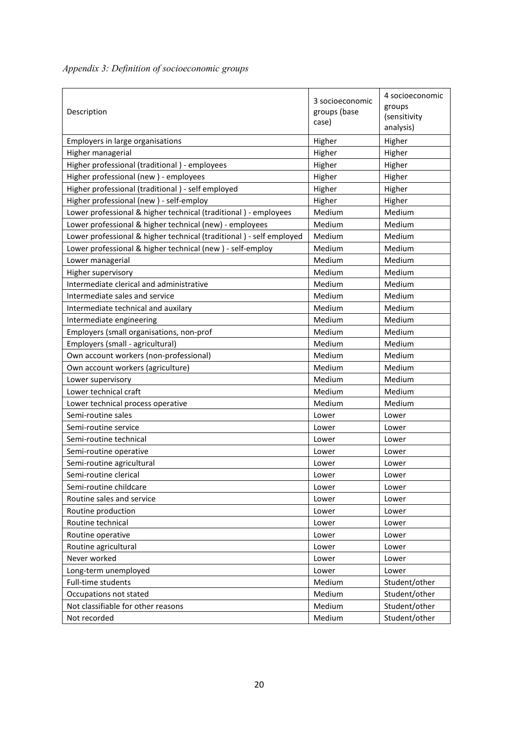|  |  | Appendix 3: Definition of socioeconomic groups |  |
|--|--|------------------------------------------------|--|
|  |  |                                                |  |

| Description                                                         | 3 socioeconomic<br>groups (base<br>case) | 4 socioeconomic<br>groups<br>(sensitivity<br>analysis) |
|---------------------------------------------------------------------|------------------------------------------|--------------------------------------------------------|
| Employers in large organisations                                    | Higher                                   | Higher                                                 |
| Higher managerial                                                   | Higher                                   | Higher                                                 |
| Higher professional (traditional) - employees                       | Higher                                   | Higher                                                 |
| Higher professional (new) - employees                               | Higher                                   | Higher                                                 |
| Higher professional (traditional) - self employed                   | Higher                                   | Higher                                                 |
| Higher professional (new) - self-employ                             | Higher                                   | Higher                                                 |
| Lower professional & higher technical (traditional) - employees     | Medium                                   | Medium                                                 |
| Lower professional & higher technical (new) - employees             | Medium                                   | Medium                                                 |
| Lower professional & higher technical (traditional) - self employed | Medium                                   | Medium                                                 |
| Lower professional & higher technical (new) - self-employ           | Medium                                   | Medium                                                 |
| Lower managerial                                                    | Medium                                   | Medium                                                 |
| Higher supervisory                                                  | Medium                                   | Medium                                                 |
| Intermediate clerical and administrative                            | Medium                                   | Medium                                                 |
| Intermediate sales and service                                      | Medium                                   | Medium                                                 |
| Intermediate technical and auxilary                                 | Medium                                   | Medium                                                 |
| Intermediate engineering                                            | Medium                                   | Medium                                                 |
| Employers (small organisations, non-prof                            | Medium                                   | Medium                                                 |
| Employers (small - agricultural)                                    | Medium                                   | Medium                                                 |
| Own account workers (non-professional)                              | Medium                                   | Medium                                                 |
| Own account workers (agriculture)                                   | Medium                                   | Medium                                                 |
| Lower supervisory                                                   | Medium                                   | Medium                                                 |
| Lower technical craft                                               | Medium                                   | Medium                                                 |
| Lower technical process operative                                   | Medium                                   | Medium                                                 |
| Semi-routine sales                                                  | Lower                                    | Lower                                                  |
| Semi-routine service                                                | Lower                                    | Lower                                                  |
| Semi-routine technical                                              | Lower                                    | Lower                                                  |
| Semi-routine operative                                              | Lower                                    | Lower                                                  |
| Semi-routine agricultural                                           | Lower                                    | Lower                                                  |
| Semi-routine clerical                                               | Lower                                    | Lower                                                  |
| Semi-routine childcare                                              | Lower                                    | Lower                                                  |
| Routine sales and service                                           | Lower                                    | Lower                                                  |
| Routine production                                                  | Lower                                    | Lower                                                  |
| Routine technical                                                   | Lower                                    | Lower                                                  |
| Routine operative                                                   | Lower                                    | Lower                                                  |
| Routine agricultural                                                | Lower                                    | Lower                                                  |
| Never worked                                                        | Lower                                    | Lower                                                  |
| Long-term unemployed                                                | Lower                                    | Lower                                                  |
| Full-time students                                                  | Medium                                   | Student/other                                          |
| Occupations not stated                                              | Medium                                   | Student/other                                          |
| Not classifiable for other reasons                                  | Medium                                   | Student/other                                          |
| Not recorded                                                        | Medium                                   | Student/other                                          |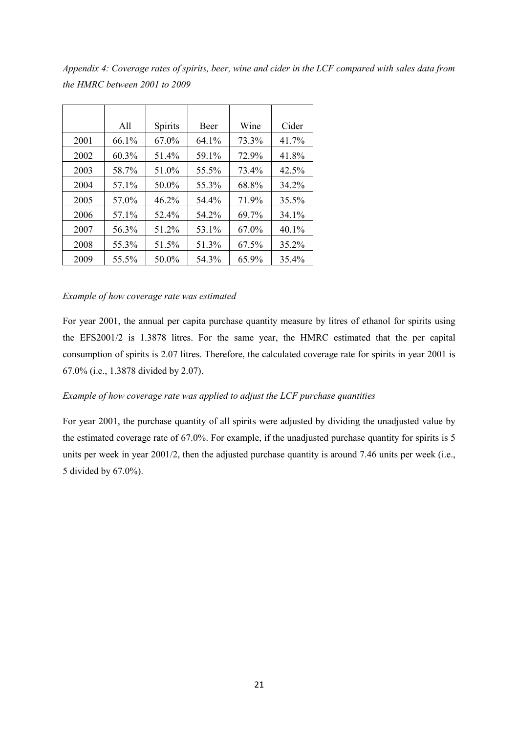*Appendix 4: Coverage rates of spirits, beer, wine and cider in the LCF compared with sales data from the HMRC between 2001 to 2009* 

|      | All   | <b>Spirits</b> | <b>Beer</b> | Wine  | Cider    |
|------|-------|----------------|-------------|-------|----------|
| 2001 | 66.1% | 67.0%          | 64.1%       | 73.3% | 41.7%    |
| 2002 | 60.3% | 51.4%          | 59.1%       | 72.9% | 41.8%    |
| 2003 | 58.7% | 51.0%          | 55.5%       | 73.4% | 42.5%    |
| 2004 | 57.1% | 50.0%          | 55.3%       | 68.8% | 34.2%    |
| 2005 | 57.0% | 46.2%          | 54.4%       | 71.9% | 35.5%    |
| 2006 | 57.1% | 52.4%          | 54.2%       | 69.7% | $34.1\%$ |
| 2007 | 56.3% | 51.2%          | 53.1%       | 67.0% | 40.1%    |
| 2008 | 55.3% | 51.5%          | 51.3%       | 67.5% | $35.2\%$ |
| 2009 | 55.5% | 50.0%          | 54.3%       | 65.9% | 35.4%    |

#### *Example of how coverage rate was estimated*

For year 2001, the annual per capita purchase quantity measure by litres of ethanol for spirits using the EFS2001/2 is 1.3878 litres. For the same year, the HMRC estimated that the per capital consumption of spirits is 2.07 litres. Therefore, the calculated coverage rate for spirits in year 2001 is 67.0% (i.e., 1.3878 divided by 2.07).

#### *Example of how coverage rate was applied to adjust the LCF purchase quantities*

For year 2001, the purchase quantity of all spirits were adjusted by dividing the unadjusted value by the estimated coverage rate of 67.0%. For example, if the unadjusted purchase quantity for spirits is 5 units per week in year 2001/2, then the adjusted purchase quantity is around 7.46 units per week (i.e., 5 divided by 67.0%).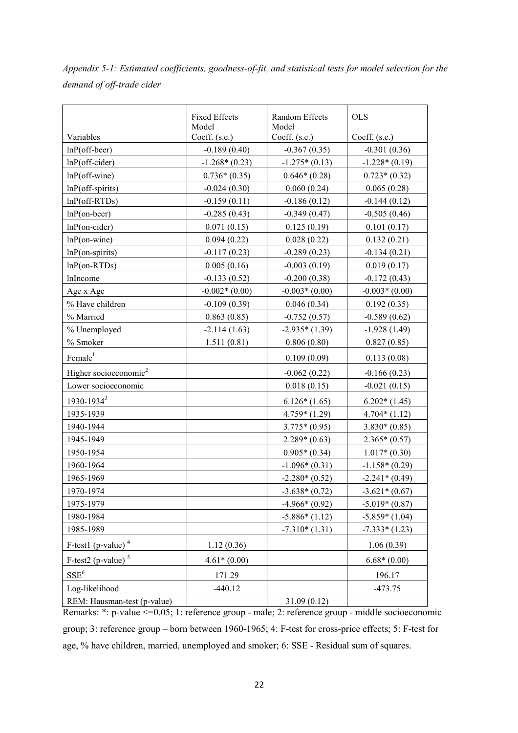*Appendix 5-1: Estimated coefficients, goodness-of-fit, and statistical tests for model selection for the demand of off-trade cider* 

|                                   | <b>Fixed Effects</b><br>Model | Random Effects<br>Model | <b>OLS</b>      |
|-----------------------------------|-------------------------------|-------------------------|-----------------|
| Variables                         | Coeff. (s.e.)                 | Coeff. (s.e.)           | Coeff. (s.e.)   |
| $lnP$ (off-beer)                  | $-0.189(0.40)$                | $-0.367(0.35)$          | $-0.301(0.36)$  |
| $lnP$ (off-cider)                 | $-1.268*(0.23)$               | $-1.275*(0.13)$         | $-1.228*(0.19)$ |
| $lnP$ (off-wine)                  | $0.736*(0.35)$                | $0.646*(0.28)$          | $0.723*(0.32)$  |
| $lnP$ (off-spirits)               | $-0.024(0.30)$                | 0.060(0.24)             | 0.065(0.28)     |
| $lnP(off-RTDs)$                   | $-0.159(0.11)$                | $-0.186(0.12)$          | $-0.144(0.12)$  |
| $lnP($ on-beer)                   | $-0.285(0.43)$                | $-0.349(0.47)$          | $-0.505(0.46)$  |
| $lnP($ on-cider $)$               | 0.071(0.15)                   | 0.125(0.19)             | 0.101(0.17)     |
| $lnP($ on-wine $)$                | 0.094(0.22)                   | 0.028(0.22)             | 0.132(0.21)     |
| $lnP$ (on-spirits)                | $-0.117(0.23)$                | $-0.289(0.23)$          | $-0.134(0.21)$  |
| $lnP$ (on-RTDs)                   | 0.005(0.16)                   | $-0.003(0.19)$          | 0.019(0.17)     |
| lnIncome                          | $-0.133(0.52)$                | $-0.200(0.38)$          | $-0.172(0.43)$  |
| Age x Age                         | $-0.002*(0.00)$               | $-0.003*(0.00)$         | $-0.003*(0.00)$ |
| % Have children                   | $-0.109(0.39)$                | 0.046(0.34)             | 0.192(0.35)     |
| % Married                         | 0.863(0.85)                   | $-0.752(0.57)$          | $-0.589(0.62)$  |
| % Unemployed                      | $-2.114(1.63)$                | $-2.935*(1.39)$         | $-1.928(1.49)$  |
| % Smoker                          | 1.511(0.81)                   | 0.806(0.80)             | 0.827(0.85)     |
| Female <sup>1</sup>               |                               | 0.109(0.09)             | 0.113(0.08)     |
| Higher socioeconomic <sup>2</sup> |                               | $-0.062(0.22)$          | $-0.166(0.23)$  |
| Lower socioeconomic               |                               | 0.018(0.15)             | $-0.021(0.15)$  |
| 1930-1934 <sup>3</sup>            |                               | $6.126*(1.65)$          | $6.202*(1.45)$  |
| 1935-1939                         |                               | $4.759*(1.29)$          | $4.704*(1.12)$  |
| 1940-1944                         |                               | $3.775*(0.95)$          | $3.830*(0.85)$  |
| 1945-1949                         |                               | $2.289*(0.63)$          | $2.365*(0.57)$  |
| 1950-1954                         |                               | $0.905*(0.34)$          | $1.017*(0.30)$  |
| 1960-1964                         |                               | $-1.096*(0.31)$         | $-1.158*(0.29)$ |
| 1965-1969                         |                               | $-2.280*(0.52)$         | $-2.241*(0.49)$ |
| 1970-1974                         |                               | $-3.638*(0.72)$         | $-3.621*(0.67)$ |
| 1975-1979                         |                               | $-4.966*(0.92)$         | $-5.019*(0.87)$ |
| 1980-1984                         |                               | $-5.886*(1.12)$         | $-5.859*(1.04)$ |
| 1985-1989                         |                               | $-7.310*(1.31)$         | $-7.333*(1.23)$ |
| F-test1 (p-value) $4$             | 1.12(0.36)                    |                         | 1.06(0.39)      |
| F-test2 (p-value) $5$             | $4.61*(0.00)$                 |                         | $6.68*(0.00)$   |
| $SSE^6$                           | 171.29                        |                         | 196.17          |
| Log-likelihood                    | $-440.12$                     |                         | $-473.75$       |
| REM: Hausman-test (p-value)       |                               | 31.09(0.12)             | 1.11            |

Remarks: \*: p-value <= 0.05; 1: reference group - male; 2: reference group - middle socioeconomic group; 3: reference group – born between 1960-1965; 4: F-test for cross-price effects; 5: F-test for age, % have children, married, unemployed and smoker; 6: SSE - Residual sum of squares.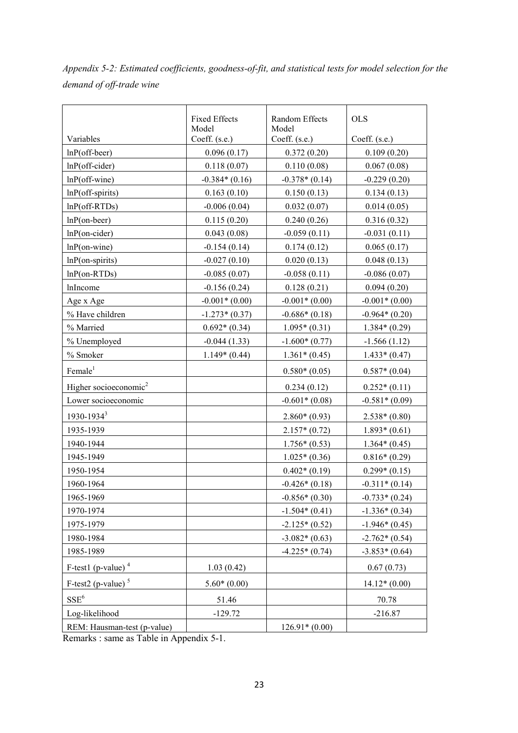*Appendix 5-2: Estimated coefficients, goodness-of-fit, and statistical tests for model selection for the demand of off-trade wine* 

|                                   | <b>Fixed Effects</b><br>Model | <b>Random Effects</b><br>Model | <b>OLS</b>      |
|-----------------------------------|-------------------------------|--------------------------------|-----------------|
| Variables                         | Coeff. (s.e.)                 | Coeff. (s.e.)                  | Coeff. (s.e.)   |
| $lnP$ (off-beer)                  | 0.096(0.17)                   | 0.372(0.20)                    | 0.109(0.20)     |
| $lnP$ (off-cider)                 | 0.118(0.07)                   | 0.110(0.08)                    | 0.067(0.08)     |
| $lnP$ (off-wine)                  | $-0.384*(0.16)$               | $-0.378*(0.14)$                | $-0.229(0.20)$  |
| $lnP$ (off-spirits)               | 0.163(0.10)                   | 0.150(0.13)                    | 0.134(0.13)     |
| $lnP(off-RTDs)$                   | $-0.006(0.04)$                | 0.032(0.07)                    | 0.014(0.05)     |
| $lnP($ on-beer)                   | 0.115(0.20)                   | 0.240(0.26)                    | 0.316(0.32)     |
| $lnP($ on-cider $)$               | 0.043(0.08)                   | $-0.059(0.11)$                 | $-0.031(0.11)$  |
| $lnP$ (on-wine)                   | $-0.154(0.14)$                | 0.174(0.12)                    | 0.065(0.17)     |
| $lnP$ (on-spirits)                | $-0.027(0.10)$                | 0.020(0.13)                    | 0.048(0.13)     |
| $lnP($ on-RTDs $)$                | $-0.085(0.07)$                | $-0.058(0.11)$                 | $-0.086(0.07)$  |
| lnIncome                          | $-0.156(0.24)$                | 0.128(0.21)                    | 0.094(0.20)     |
| Age x Age                         | $-0.001*(0.00)$               | $-0.001*(0.00)$                | $-0.001*(0.00)$ |
| % Have children                   | $-1.273*(0.37)$               | $-0.686*(0.18)$                | $-0.964*(0.20)$ |
| % Married                         | $0.692*(0.34)$                | $1.095*(0.31)$                 | $1.384*(0.29)$  |
| % Unemployed                      | $-0.044(1.33)$                | $-1.600*(0.77)$                | $-1.566(1.12)$  |
| % Smoker                          | $1.149*(0.44)$                | $1.361*(0.45)$                 | $1.433*(0.47)$  |
| Female <sup>1</sup>               |                               | $0.580*(0.05)$                 | $0.587*(0.04)$  |
| Higher socioeconomic <sup>2</sup> |                               | 0.234(0.12)                    | $0.252*(0.11)$  |
| Lower socioeconomic               |                               | $-0.601*(0.08)$                | $-0.581*(0.09)$ |
| $1930 - 1934^3$                   |                               | $2.860*(0.93)$                 | $2.538*(0.80)$  |
| 1935-1939                         |                               | $2.157*(0.72)$                 | $1.893*(0.61)$  |
| 1940-1944                         |                               | $1.756*(0.53)$                 | $1.364*(0.45)$  |
| 1945-1949                         |                               | $1.025*(0.36)$                 | $0.816*(0.29)$  |
| 1950-1954                         |                               | $0.402*(0.19)$                 | $0.299*(0.15)$  |
| 1960-1964                         |                               | $-0.426*(0.18)$                | $-0.311*(0.14)$ |
| 1965-1969                         |                               | $-0.856*(0.30)$                | $-0.733*(0.24)$ |
| 1970-1974                         |                               | $-1.504*(0.41)$                | $-1.336*(0.34)$ |
| 1975-1979                         |                               | $-2.125*(0.52)$                | $-1.946*(0.45)$ |
| 1980-1984                         |                               | $-3.082*(0.63)$                | $-2.762*(0.54)$ |
| 1985-1989                         |                               | $-4.225*(0.74)$                | $-3.853*(0.64)$ |
| F-test1 (p-value) $4$             | 1.03(0.42)                    |                                | 0.67(0.73)      |
| $F-test2$ (p-value) <sup>5</sup>  | $5.60*(0.00)$                 |                                | $14.12*(0.00)$  |
| $SSE^6$                           | 51.46                         |                                | 70.78           |
| Log-likelihood                    | $-129.72$                     |                                | $-216.87$       |
| REM: Hausman-test (p-value)       |                               | $126.91*(0.00)$                |                 |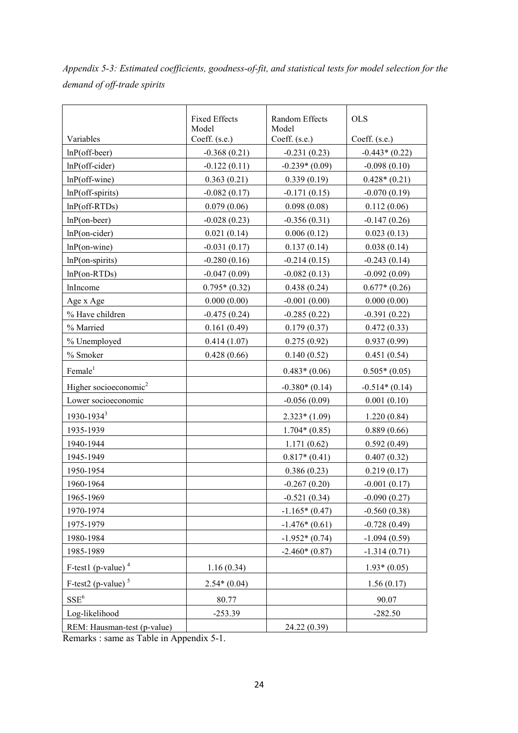*Appendix 5-3: Estimated coefficients, goodness-of-fit, and statistical tests for model selection for the demand of off-trade spirits* 

|                                   | <b>Fixed Effects</b><br>Model | Random Effects<br>Model | <b>OLS</b>      |
|-----------------------------------|-------------------------------|-------------------------|-----------------|
| Variables                         | Coeff. (s.e.)                 | Coeff. (s.e.)           | Coeff. (s.e.)   |
| $lnP$ (off-beer)                  | $-0.368(0.21)$                | $-0.231(0.23)$          | $-0.443*(0.22)$ |
| $lnP$ (off-cider)                 | $-0.122(0.11)$                | $-0.239*(0.09)$         | $-0.098(0.10)$  |
| $lnP$ (off-wine)                  | 0.363(0.21)                   | 0.339(0.19)             | $0.428*(0.21)$  |
| $lnP$ (off-spirits)               | $-0.082(0.17)$                | $-0.171(0.15)$          | $-0.070(0.19)$  |
| $lnP(off-RTDs)$                   | 0.079(0.06)                   | 0.098(0.08)             | 0.112(0.06)     |
| $lnP($ on-beer)                   | $-0.028(0.23)$                | $-0.356(0.31)$          | $-0.147(0.26)$  |
| $lnP($ on-cider $)$               | 0.021(0.14)                   | 0.006(0.12)             | 0.023(0.13)     |
| $lnP$ (on-wine)                   | $-0.031(0.17)$                | 0.137(0.14)             | 0.038(0.14)     |
| $lnP$ (on-spirits)                | $-0.280(0.16)$                | $-0.214(0.15)$          | $-0.243(0.14)$  |
| $lnP$ (on-RTDs)                   | $-0.047(0.09)$                | $-0.082(0.13)$          | $-0.092(0.09)$  |
| lnIncome                          | $0.795*(0.32)$                | 0.438(0.24)             | $0.677*(0.26)$  |
| Age x Age                         | 0.000(0.00)                   | $-0.001(0.00)$          | 0.000(0.00)     |
| % Have children                   | $-0.475(0.24)$                | $-0.285(0.22)$          | $-0.391(0.22)$  |
| % Married                         | 0.161(0.49)                   | 0.179(0.37)             | 0.472(0.33)     |
| % Unemployed                      | 0.414(1.07)                   | 0.275(0.92)             | 0.937(0.99)     |
| % Smoker                          | 0.428(0.66)                   | 0.140(0.52)             | 0.451(0.54)     |
| Female <sup>1</sup>               |                               | $0.483*(0.06)$          | $0.505*(0.05)$  |
| Higher socioeconomic <sup>2</sup> |                               | $-0.380*(0.14)$         | $-0.514*(0.14)$ |
| Lower socioeconomic               |                               | $-0.056(0.09)$          | 0.001(0.10)     |
| $1930 - 1934^3$                   |                               | $2.323*(1.09)$          | 1.220(0.84)     |
| 1935-1939                         |                               | $1.704*(0.85)$          | 0.889(0.66)     |
| 1940-1944                         |                               | 1.171(0.62)             | 0.592(0.49)     |
| 1945-1949                         |                               | $0.817*(0.41)$          | 0.407(0.32)     |
| 1950-1954                         |                               | 0.386(0.23)             | 0.219(0.17)     |
| 1960-1964                         |                               | $-0.267(0.20)$          | $-0.001(0.17)$  |
| 1965-1969                         |                               | $-0.521(0.34)$          | $-0.090(0.27)$  |
| 1970-1974                         |                               | $-1.165*(0.47)$         | $-0.560(0.38)$  |
| 1975-1979                         |                               | $-1.476*(0.61)$         | $-0.728(0.49)$  |
| 1980-1984                         |                               | $-1.952*(0.74)$         | $-1.094(0.59)$  |
| 1985-1989                         |                               | $-2.460*(0.87)$         | $-1.314(0.71)$  |
| $F$ -test1 (p-value) <sup>4</sup> | 1.16(0.34)                    |                         | $1.93*(0.05)$   |
| F-test2 (p-value) $5$             | $2.54*(0.04)$                 |                         | 1.56(0.17)      |
| $SSE^6$                           | 80.77                         |                         | 90.07           |
| Log-likelihood                    | $-253.39$                     |                         | $-282.50$       |
| REM: Hausman-test (p-value)       |                               | 24.22 (0.39)            |                 |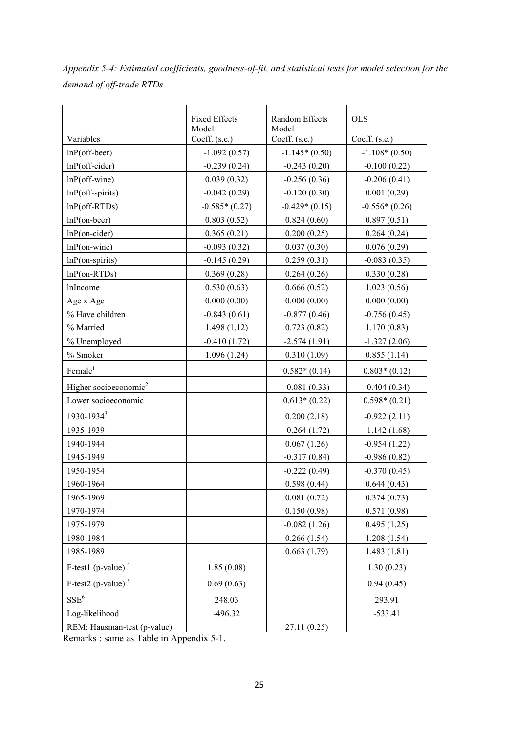*Appendix 5-4: Estimated coefficients, goodness-of-fit, and statistical tests for model selection for the demand of off-trade RTDs* 

|                                   | <b>Fixed Effects</b><br>Model | <b>Random Effects</b><br>Model | <b>OLS</b>      |
|-----------------------------------|-------------------------------|--------------------------------|-----------------|
| Variables                         | Coeff. (s.e.)                 | Coeff. (s.e.)                  | Coeff. (s.e.)   |
| $lnP$ (off-beer)                  | $-1.092(0.57)$                | $-1.145*(0.50)$                | $-1.108*(0.50)$ |
| $lnP$ (off-cider)                 | $-0.239(0.24)$                | $-0.243(0.20)$                 | $-0.100(0.22)$  |
| $lnP$ (off-wine)                  | 0.039(0.32)                   | $-0.256(0.36)$                 | $-0.206(0.41)$  |
| $lnP$ (off-spirits)               | $-0.042(0.29)$                | $-0.120(0.30)$                 | 0.001(0.29)     |
| $lnP(off-RTDs)$                   | $-0.585*(0.27)$               | $-0.429*(0.15)$                | $-0.556*(0.26)$ |
| $lnP($ on-beer)                   | 0.803(0.52)                   | 0.824(0.60)                    | 0.897(0.51)     |
| $lnP($ on-cider $)$               | 0.365(0.21)                   | 0.200(0.25)                    | 0.264(0.24)     |
| $lnP$ (on-wine)                   | $-0.093(0.32)$                | 0.037(0.30)                    | 0.076(0.29)     |
| $lnP$ (on-spirits)                | $-0.145(0.29)$                | 0.259(0.31)                    | $-0.083(0.35)$  |
| $lnP($ on-RTDs $)$                | 0.369(0.28)                   | 0.264(0.26)                    | 0.330(0.28)     |
| lnIncome                          | 0.530(0.63)                   | 0.666(0.52)                    | 1.023(0.56)     |
| Age x Age                         | 0.000(0.00)                   | 0.000(0.00)                    | 0.000(0.00)     |
| % Have children                   | $-0.843(0.61)$                | $-0.877(0.46)$                 | $-0.756(0.45)$  |
| % Married                         | 1.498(1.12)                   | 0.723(0.82)                    | 1.170(0.83)     |
| % Unemployed                      | $-0.410(1.72)$                | $-2.574(1.91)$                 | $-1.327(2.06)$  |
| % Smoker                          | 1.096(1.24)                   | 0.310(1.09)                    | 0.855(1.14)     |
| Female <sup>1</sup>               |                               | $0.582*(0.14)$                 | $0.803*(0.12)$  |
| Higher socioeconomic <sup>2</sup> |                               | $-0.081(0.33)$                 | $-0.404(0.34)$  |
| Lower socioeconomic               |                               | $0.613*(0.22)$                 | $0.598*(0.21)$  |
| 1930-1934 <sup>3</sup>            |                               | 0.200(2.18)                    | $-0.922(2.11)$  |
| 1935-1939                         |                               | $-0.264(1.72)$                 | $-1.142(1.68)$  |
| 1940-1944                         |                               | 0.067(1.26)                    | $-0.954(1.22)$  |
| 1945-1949                         |                               | $-0.317(0.84)$                 | $-0.986(0.82)$  |
| 1950-1954                         |                               | $-0.222(0.49)$                 | $-0.370(0.45)$  |
| 1960-1964                         |                               | 0.598(0.44)                    | 0.644(0.43)     |
| 1965-1969                         |                               | 0.081(0.72)                    | 0.374(0.73)     |
| 1970-1974                         |                               | 0.150(0.98)                    | 0.571(0.98)     |
| 1975-1979                         |                               | $-0.082(1.26)$                 | 0.495(1.25)     |
| 1980-1984                         |                               | 0.266(1.54)                    | 1.208(1.54)     |
| 1985-1989                         |                               | 0.663(1.79)                    | 1.483(1.81)     |
| F-test1 (p-value) $4$             | 1.85(0.08)                    |                                | 1.30(0.23)      |
| F-test2 (p-value) $5$             | 0.69(0.63)                    |                                | 0.94(0.45)      |
| $SSE^6$                           | 248.03                        |                                | 293.91          |
| Log-likelihood                    | $-496.32$                     |                                | $-533.41$       |
| REM: Hausman-test (p-value)       |                               | 27.11 (0.25)                   |                 |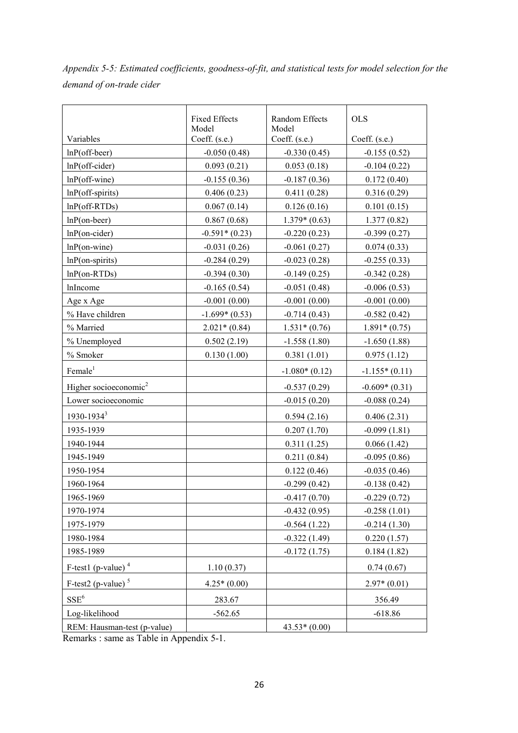*Appendix 5-5: Estimated coefficients, goodness-of-fit, and statistical tests for model selection for the demand of on-trade cider* 

|                                   | <b>Fixed Effects</b><br>Model | Random Effects<br>Model           | <b>OLS</b>      |  |
|-----------------------------------|-------------------------------|-----------------------------------|-----------------|--|
| Variables                         | Coeff. (s.e.)                 | Coeff. (s.e.)                     | Coeff. (s.e.)   |  |
| $lnP$ (off-beer)                  | $-0.050(0.48)$                | $-0.330(0.45)$                    | $-0.155(0.52)$  |  |
| $lnP$ (off-cider)                 | 0.093(0.21)                   | 0.053(0.18)                       | $-0.104(0.22)$  |  |
| $lnP$ (off-wine)                  | $-0.155(0.36)$                | $-0.187(0.36)$                    | 0.172(0.40)     |  |
| $lnP$ (off-spirits)               | 0.406(0.23)                   | 0.411(0.28)                       | 0.316(0.29)     |  |
| $lnP(off-RTDs)$                   | 0.067(0.14)                   | 0.126(0.16)                       | 0.101(0.15)     |  |
| $lnP($ on-beer)                   | 0.867(0.68)                   | $1.379*(0.63)$                    | 1.377(0.82)     |  |
| $lnP($ on-cider $)$               | $-0.591*(0.23)$               | $-0.220(0.23)$                    | $-0.399(0.27)$  |  |
| $lnP$ (on-wine)                   | $-0.031(0.26)$                | $-0.061(0.27)$                    | 0.074(0.33)     |  |
| $lnP$ (on-spirits)                | $-0.284(0.29)$                | $-0.023(0.28)$                    | $-0.255(0.33)$  |  |
| $lnP$ (on-RTDs)                   | $-0.394(0.30)$                | $-0.149(0.25)$                    | $-0.342(0.28)$  |  |
| lnIncome                          | $-0.165(0.54)$                | $-0.051(0.48)$                    | $-0.006(0.53)$  |  |
| Age x Age                         | $-0.001(0.00)$                | $-0.001(0.00)$                    | $-0.001(0.00)$  |  |
| % Have children                   | $-1.699*(0.53)$               | $-0.714(0.43)$                    | $-0.582(0.42)$  |  |
| % Married                         | $2.021*(0.84)$                | $1.531*(0.76)$                    | $1.891*(0.75)$  |  |
| % Unemployed                      | 0.502(2.19)                   | $-1.558(1.80)$                    | $-1.650(1.88)$  |  |
| % Smoker                          | 0.130(1.00)                   | 0.381(1.01)                       | 0.975(1.12)     |  |
| Female <sup>1</sup>               |                               | $-1.080*(0.12)$                   | $-1.155*(0.11)$ |  |
| Higher socioeconomic <sup>2</sup> |                               | $-0.537(0.29)$<br>$-0.609*(0.31)$ |                 |  |
| Lower socioeconomic               |                               | $-0.088(0.24)$<br>$-0.015(0.20)$  |                 |  |
| 1930-1934 <sup>3</sup>            |                               | 0.594(2.16)<br>0.406(2.31)        |                 |  |
| 1935-1939                         |                               | 0.207(1.70)<br>$-0.099(1.81)$     |                 |  |
| 1940-1944                         |                               | 0.311(1.25)<br>0.066(1.42)        |                 |  |
| 1945-1949                         |                               | 0.211(0.84)                       | $-0.095(0.86)$  |  |
| 1950-1954                         |                               | 0.122(0.46)<br>$-0.035(0.46)$     |                 |  |
| 1960-1964                         |                               | $-0.299(0.42)$                    | $-0.138(0.42)$  |  |
| 1965-1969                         |                               | $-0.417(0.70)$                    | $-0.229(0.72)$  |  |
| 1970-1974                         |                               | $-0.432(0.95)$                    | $-0.258(1.01)$  |  |
| 1975-1979                         |                               | $-0.564(1.22)$<br>$-0.214(1.30)$  |                 |  |
| 1980-1984                         |                               | $-0.322(1.49)$                    | 0.220(1.57)     |  |
| 1985-1989                         |                               | $-0.172(1.75)$<br>0.184(1.82)     |                 |  |
| F-test1 (p-value) $4$             | 1.10(0.37)                    |                                   | 0.74(0.67)      |  |
| $F-test2$ (p-value) <sup>5</sup>  | $4.25*(0.00)$                 | $2.97*(0.01)$                     |                 |  |
| $SSE^6$                           | 283.67                        |                                   | 356.49          |  |
| Log-likelihood                    | $-562.65$                     |                                   | $-618.86$       |  |
| REM: Hausman-test (p-value)       |                               | $43.53*(0.00)$                    |                 |  |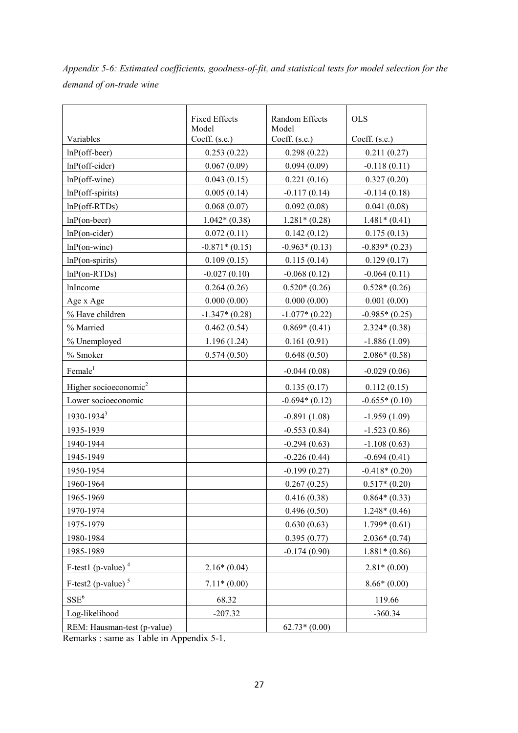*Appendix 5-6: Estimated coefficients, goodness-of-fit, and statistical tests for model selection for the demand of on-trade wine* 

|                                   | <b>Fixed Effects</b><br>Model | <b>Random Effects</b><br>Model     | <b>OLS</b>      |  |
|-----------------------------------|-------------------------------|------------------------------------|-----------------|--|
| Variables                         | Coeff. (s.e.)                 | Coeff. (s.e.)                      | Coeff. (s.e.)   |  |
| $lnP$ (off-beer)                  | 0.253(0.22)                   | 0.298(0.22)                        | 0.211(0.27)     |  |
| $lnP$ (off-cider)                 | 0.067(0.09)                   | 0.094(0.09)                        | $-0.118(0.11)$  |  |
| $lnP$ (off-wine)                  | 0.043(0.15)                   | 0.221(0.16)                        | 0.327(0.20)     |  |
| $lnP$ (off-spirits)               | 0.005(0.14)                   | $-0.117(0.14)$                     | $-0.114(0.18)$  |  |
| $lnP(off-RTDs)$                   | 0.068(0.07)                   | 0.092(0.08)                        | 0.041(0.08)     |  |
| $lnP($ on-beer)                   | $1.042*(0.38)$                | $1.281*(0.28)$                     | $1.481*(0.41)$  |  |
| $lnP($ on-cider $)$               | 0.072(0.11)                   | 0.142(0.12)                        | 0.175(0.13)     |  |
| $lnP$ (on-wine)                   | $-0.871*(0.15)$               | $-0.963*(0.13)$                    | $-0.839*(0.23)$ |  |
| $lnP$ (on-spirits)                | 0.109(0.15)                   | 0.115(0.14)                        | 0.129(0.17)     |  |
| $lnP$ (on-RTDs)                   | $-0.027(0.10)$                | $-0.068(0.12)$                     | $-0.064(0.11)$  |  |
| lnIncome                          | 0.264(0.26)                   | $0.520*(0.26)$                     | $0.528*(0.26)$  |  |
| Age x Age                         | 0.000(0.00)                   | 0.000(0.00)                        | 0.001(0.00)     |  |
| % Have children                   | $-1.347*(0.28)$               | $-1.077*(0.22)$                    | $-0.985*(0.25)$ |  |
| % Married                         | 0.462(0.54)                   | $0.869*(0.41)$                     | $2.324*(0.38)$  |  |
| % Unemployed                      | 1.196(1.24)                   | 0.161(0.91)                        | $-1.886(1.09)$  |  |
| % Smoker                          | 0.574(0.50)                   | 0.648(0.50)                        | $2.086*(0.58)$  |  |
| Female <sup>1</sup>               |                               | $-0.044(0.08)$                     | $-0.029(0.06)$  |  |
| Higher socioeconomic <sup>2</sup> |                               | 0.135(0.17)                        | 0.112(0.15)     |  |
| Lower socioeconomic               |                               | $-0.694*(0.12)$<br>$-0.655*(0.10)$ |                 |  |
| $1930 - 1934^3$                   |                               | $-0.891(1.08)$<br>$-1.959(1.09)$   |                 |  |
| 1935-1939                         |                               | $-0.553(0.84)$<br>$-1.523(0.86)$   |                 |  |
| 1940-1944                         |                               | $-0.294(0.63)$<br>$-1.108(0.63)$   |                 |  |
| 1945-1949                         |                               | $-0.226(0.44)$<br>$-0.694(0.41)$   |                 |  |
| 1950-1954                         |                               | $-0.199(0.27)$                     | $-0.418*(0.20)$ |  |
| 1960-1964                         |                               | 0.267(0.25)                        | $0.517*(0.20)$  |  |
| 1965-1969                         |                               | 0.416(0.38)                        | $0.864*(0.33)$  |  |
| 1970-1974                         |                               | 0.496(0.50)                        | $1.248*(0.46)$  |  |
| 1975-1979                         |                               | 0.630(0.63)                        | $1.799*(0.61)$  |  |
| 1980-1984                         |                               | 0.395(0.77)                        | $2.036*(0.74)$  |  |
| 1985-1989                         |                               | $-0.174(0.90)$                     | $1.881*(0.86)$  |  |
| $F$ -test1 (p-value) <sup>4</sup> | $2.16*(0.04)$                 |                                    | $2.81*(0.00)$   |  |
| F-test2 (p-value) $5$             | $7.11*(0.00)$                 |                                    | $8.66*(0.00)$   |  |
| $SSE^6$                           | 68.32                         |                                    | 119.66          |  |
| Log-likelihood                    | $-207.32$                     |                                    | $-360.34$       |  |
| REM: Hausman-test (p-value)       |                               | $62.73*(0.00)$                     |                 |  |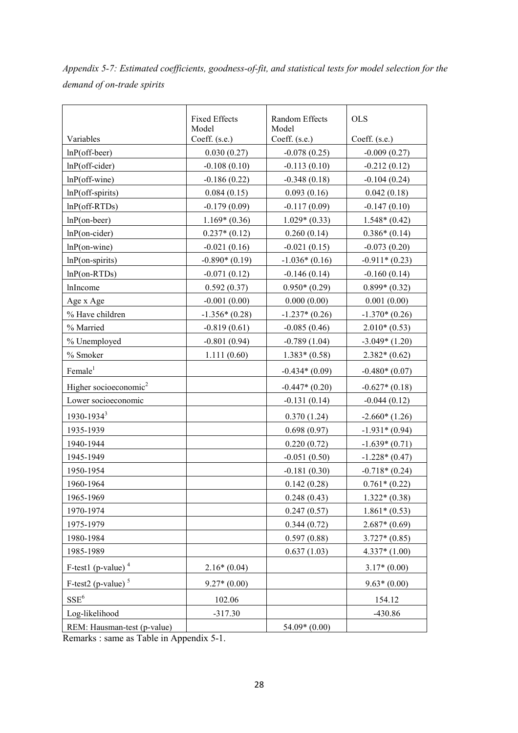*Appendix 5-7: Estimated coefficients, goodness-of-fit, and statistical tests for model selection for the demand of on-trade spirits* 

|                                   | <b>Fixed Effects</b><br>Model | <b>Random Effects</b><br>Model   | <b>OLS</b>      |  |
|-----------------------------------|-------------------------------|----------------------------------|-----------------|--|
| Variables                         | Coeff. (s.e.)                 | Coeff. (s.e.)                    | Coeff. (s.e.)   |  |
| $lnP$ (off-beer)                  | 0.030(0.27)                   | $-0.078(0.25)$                   | $-0.009(0.27)$  |  |
| $lnP$ (off-cider)                 | $-0.108(0.10)$                | $-0.113(0.10)$                   | $-0.212(0.12)$  |  |
| $lnP$ (off-wine)                  | $-0.186(0.22)$                | $-0.348(0.18)$                   | $-0.104(0.24)$  |  |
| $lnP$ (off-spirits)               | 0.084(0.15)                   | 0.093(0.16)                      | 0.042(0.18)     |  |
| $lnP$ (off-RTDs)                  | $-0.179(0.09)$                | $-0.117(0.09)$                   | $-0.147(0.10)$  |  |
| $lnP($ on-beer)                   | $1.169*(0.36)$                | $1.029*(0.33)$                   | $1.548*(0.42)$  |  |
| $lnP($ on-cider $)$               | $0.237*(0.12)$                | 0.260(0.14)                      | $0.386*(0.14)$  |  |
| $lnP$ (on-wine)                   | $-0.021(0.16)$                | $-0.021(0.15)$                   | $-0.073(0.20)$  |  |
| $lnP$ (on-spirits)                | $-0.890*(0.19)$               | $-1.036*(0.16)$                  | $-0.911*(0.23)$ |  |
| $lnP$ (on-RTDs)                   | $-0.071(0.12)$                | $-0.146(0.14)$                   | $-0.160(0.14)$  |  |
| lnIncome                          | 0.592(0.37)                   | $0.950*(0.29)$                   | $0.899*(0.32)$  |  |
| Age x Age                         | $-0.001(0.00)$                | 0.000(0.00)                      | 0.001(0.00)     |  |
| % Have children                   | $-1.356*(0.28)$               | $-1.237*(0.26)$                  | $-1.370*(0.26)$ |  |
| % Married                         | $-0.819(0.61)$                | $-0.085(0.46)$                   | $2.010*(0.53)$  |  |
| % Unemployed                      | $-0.801(0.94)$                | $-0.789(1.04)$                   | $-3.049*(1.20)$ |  |
| % Smoker                          | 1.111(0.60)                   | $1.383*(0.58)$                   | $2.382*(0.62)$  |  |
| Female <sup>1</sup>               |                               | $-0.434*(0.09)$                  | $-0.480*(0.07)$ |  |
| Higher socioeconomic <sup>2</sup> |                               | $-0.447*(0.20)$                  | $-0.627*(0.18)$ |  |
| Lower socioeconomic               |                               | $-0.131(0.14)$<br>$-0.044(0.12)$ |                 |  |
| $1930 - 1934^3$                   |                               | $-2.660*(1.26)$<br>0.370(1.24)   |                 |  |
| 1935-1939                         |                               | 0.698(0.97)<br>$-1.931*(0.94)$   |                 |  |
| 1940-1944                         |                               | 0.220(0.72)                      | $-1.639*(0.71)$ |  |
| 1945-1949                         |                               | $-0.051(0.50)$                   | $-1.228*(0.47)$ |  |
| 1950-1954                         |                               | $-0.181(0.30)$                   | $-0.718*(0.24)$ |  |
| 1960-1964                         |                               | 0.142(0.28)                      | $0.761*(0.22)$  |  |
| 1965-1969                         |                               | 0.248(0.43)                      | $1.322*(0.38)$  |  |
| 1970-1974                         |                               | 0.247(0.57)                      | $1.861*(0.53)$  |  |
| 1975-1979                         |                               | 0.344(0.72)                      | $2.687*(0.69)$  |  |
| 1980-1984                         |                               | 0.597(0.88)                      | $3.727*(0.85)$  |  |
| 1985-1989                         |                               | 0.637(1.03)                      | $4.337*(1.00)$  |  |
| $F$ -test1 (p-value) <sup>4</sup> | $2.16*(0.04)$                 |                                  | $3.17*(0.00)$   |  |
| F-test2 (p-value) $5$             | $9.27*(0.00)$                 |                                  | $9.63*(0.00)$   |  |
| $SSE^6$                           | 102.06                        |                                  | 154.12          |  |
| Log-likelihood                    | $-317.30$                     |                                  | -430.86         |  |
| REM: Hausman-test (p-value)       |                               | $54.09*(0.00)$                   |                 |  |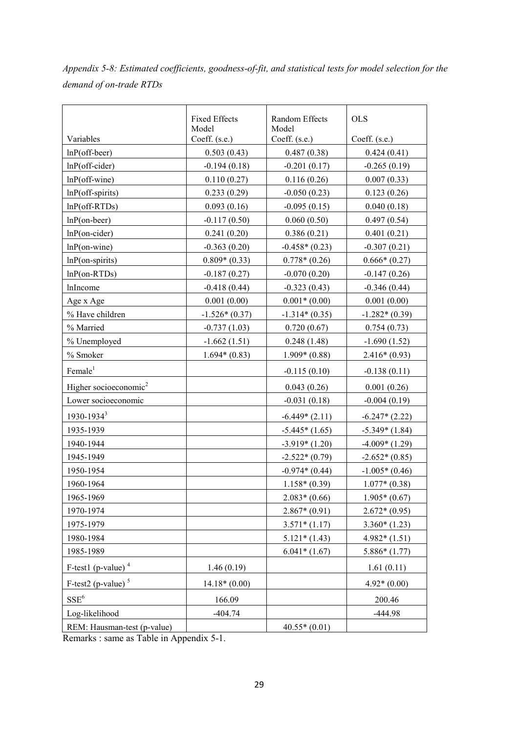*Appendix 5-8: Estimated coefficients, goodness-of-fit, and statistical tests for model selection for the demand of on-trade RTDs* 

|                                   | <b>Fixed Effects</b><br>Model | <b>Random Effects</b><br>Model     | <b>OLS</b>      |  |
|-----------------------------------|-------------------------------|------------------------------------|-----------------|--|
| Variables                         | Coeff. (s.e.)                 | Coeff. (s.e.)                      | Coeff. (s.e.)   |  |
| $lnP$ (off-beer)                  | 0.503(0.43)                   | 0.487(0.38)                        | 0.424(0.41)     |  |
| $lnP$ (off-cider)                 | $-0.194(0.18)$                | $-0.201(0.17)$                     | $-0.265(0.19)$  |  |
| $lnP$ (off-wine)                  | 0.110(0.27)                   | 0.116(0.26)                        | 0.007(0.33)     |  |
| $lnP$ (off-spirits)               | 0.233(0.29)                   | $-0.050(0.23)$                     | 0.123(0.26)     |  |
| $lnP(off-RTDs)$                   | 0.093(0.16)                   | $-0.095(0.15)$                     | 0.040(0.18)     |  |
| $lnP($ on-beer)                   | $-0.117(0.50)$                | 0.060(0.50)                        | 0.497(0.54)     |  |
| $lnP($ on-cider $)$               | 0.241(0.20)                   | 0.386(0.21)                        | 0.401(0.21)     |  |
| $lnP$ (on-wine)                   | $-0.363(0.20)$                | $-0.458*(0.23)$                    | $-0.307(0.21)$  |  |
| $lnP$ (on-spirits)                | $0.809*(0.33)$                | $0.778*(0.26)$                     | $0.666*(0.27)$  |  |
| $lnP($ on-RTDs $)$                | $-0.187(0.27)$                | $-0.070(0.20)$                     | $-0.147(0.26)$  |  |
| lnIncome                          | $-0.418(0.44)$                | $-0.323(0.43)$                     | $-0.346(0.44)$  |  |
| Age x Age                         | 0.001(0.00)                   | $0.001*(0.00)$                     | 0.001(0.00)     |  |
| % Have children                   | $-1.526*(0.37)$               | $-1.314*(0.35)$                    | $-1.282*(0.39)$ |  |
| % Married                         | $-0.737(1.03)$                | 0.720(0.67)                        | 0.754(0.73)     |  |
| % Unemployed                      | $-1.662(1.51)$                | 0.248(1.48)                        | $-1.690(1.52)$  |  |
| % Smoker                          | $1.694*(0.83)$                | $1.909*(0.88)$                     | $2.416*(0.93)$  |  |
| Female <sup>1</sup>               |                               | $-0.115(0.10)$                     | $-0.138(0.11)$  |  |
| Higher socioeconomic <sup>2</sup> |                               | 0.043(0.26)                        | 0.001(0.26)     |  |
| Lower socioeconomic               |                               | $-0.004(0.19)$<br>$-0.031(0.18)$   |                 |  |
| 1930-1934 <sup>3</sup>            |                               | $-6.449*(2.11)$<br>$-6.247*(2.22)$ |                 |  |
| 1935-1939                         |                               | $-5.445*(1.65)$<br>$-5.349*(1.84)$ |                 |  |
| 1940-1944                         |                               | $-3.919*(1.20)$<br>$-4.009*(1.29)$ |                 |  |
| 1945-1949                         |                               | $-2.522*(0.79)$                    | $-2.652*(0.85)$ |  |
| 1950-1954                         |                               | $-0.974*(0.44)$                    | $-1.005*(0.46)$ |  |
| 1960-1964                         |                               | $1.158*(0.39)$                     | $1.077*(0.38)$  |  |
| 1965-1969                         |                               | $2.083*(0.66)$                     | $1.905*(0.67)$  |  |
| 1970-1974                         |                               | $2.867*(0.91)$                     | $2.672*(0.95)$  |  |
| 1975-1979                         |                               | $3.571*(1.17)$                     | $3.360*(1.23)$  |  |
| 1980-1984                         |                               | $5.121*(1.43)$                     | $4.982*(1.51)$  |  |
| 1985-1989                         |                               | $6.041*(1.67)$                     | $5.886*(1.77)$  |  |
| F-test1 (p-value) $4$             | 1.46(0.19)                    |                                    | 1.61(0.11)      |  |
| F-test2 (p-value) <sup>5</sup>    | $14.18*(0.00)$                |                                    | $4.92*(0.00)$   |  |
| $SSE^6$                           | 166.09                        | 200.46                             |                 |  |
| Log-likelihood                    | $-404.74$                     |                                    | -444.98         |  |
| REM: Hausman-test (p-value)       |                               | $40.55*(0.01)$                     |                 |  |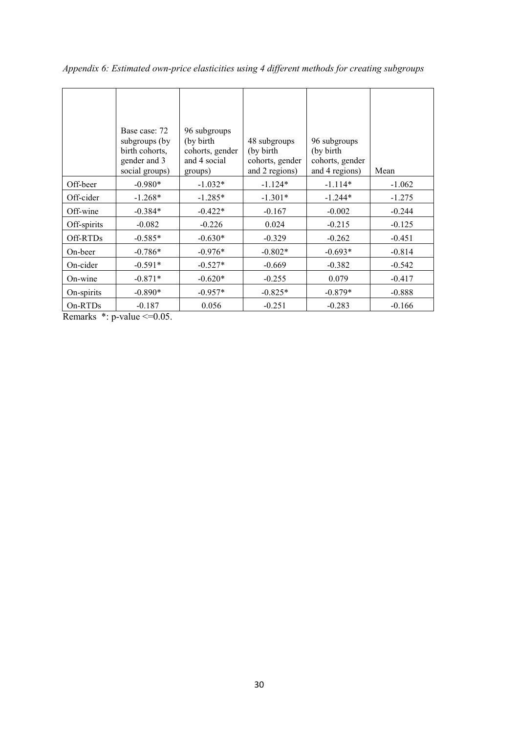|             | Base case: 72<br>subgroups (by<br>birth cohorts,<br>gender and 3<br>social groups) | 96 subgroups<br>(by birth)<br>cohorts, gender<br>and 4 social<br>groups) | 48 subgroups<br>(by birth<br>cohorts, gender<br>and 2 regions) | 96 subgroups<br>(by birth)<br>cohorts, gender<br>and 4 regions) | Mean     |
|-------------|------------------------------------------------------------------------------------|--------------------------------------------------------------------------|----------------------------------------------------------------|-----------------------------------------------------------------|----------|
| Off-beer    | $-0.980*$                                                                          | $-1.032*$                                                                | $-1.124*$                                                      | $-1.114*$                                                       | $-1.062$ |
| Off-cider   | $-1.268*$                                                                          | $-1.285*$                                                                | $-1.301*$                                                      | $-1.244*$                                                       | $-1.275$ |
| Off-wine    | $-0.384*$                                                                          | $-0.422*$                                                                | $-0.167$                                                       | $-0.002$                                                        | $-0.244$ |
| Off-spirits | $-0.082$                                                                           | $-0.226$                                                                 | 0.024                                                          | $-0.215$                                                        | $-0.125$ |
| Off-RTDs    | $-0.585*$                                                                          | $-0.630*$                                                                | $-0.329$                                                       | $-0.262$                                                        | $-0.451$ |
| On-beer     | $-0.786*$                                                                          | $-0.976*$                                                                | $-0.802*$                                                      | $-0.693*$                                                       | $-0.814$ |
| On-cider    | $-0.591*$                                                                          | $-0.527*$                                                                | $-0.669$                                                       | $-0.382$                                                        | $-0.542$ |
| On-wine     | $-0.871*$                                                                          | $-0.620*$                                                                | $-0.255$                                                       | 0.079                                                           | $-0.417$ |
| On-spirits  | $-0.890*$                                                                          | $-0.957*$                                                                | $-0.825*$                                                      | $-0.879*$                                                       | $-0.888$ |
| On-RTDs     | $-0.187$                                                                           | 0.056                                                                    | $-0.251$                                                       | $-0.283$                                                        | $-0.166$ |

*Appendix 6: Estimated own-price elasticities using 4 different methods for creating subgroups* 

Remarks  $*$ : p-value  $\leq 0.05$ .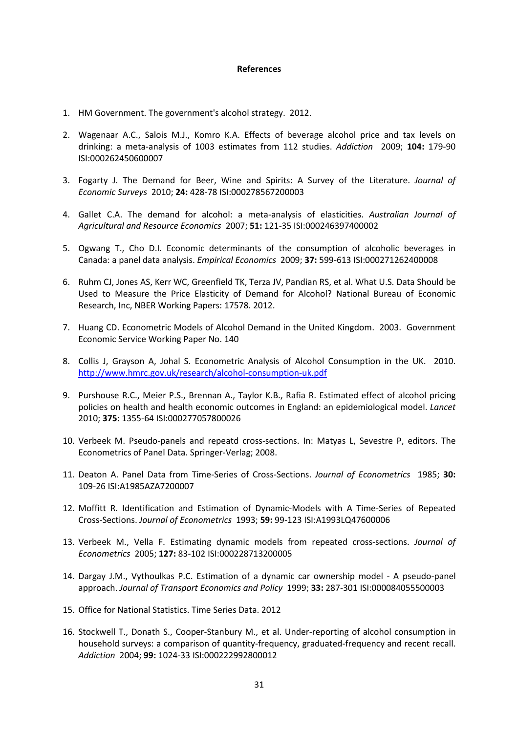#### **References**

- 1. HM Government. The government's alcohol strategy. 2012.
- 2. Wagenaar A.C., Salois M.J., Komro K.A. Effects of beverage alcohol price and tax levels on drinking: a meta-analysis of 1003 estimates from 112 studies. *Addiction* 2009; **104:** 179-90 ISI:000262450600007
- 3. Fogarty J. The Demand for Beer, Wine and Spirits: A Survey of the Literature. *Journal of Economic Surveys* 2010; **24:** 428-78 ISI:000278567200003
- 4. Gallet C.A. The demand for alcohol: a meta-analysis of elasticities. *Australian Journal of Agricultural and Resource Economics* 2007; **51:** 121-35 ISI:000246397400002
- 5. Ogwang T., Cho D.I. Economic determinants of the consumption of alcoholic beverages in Canada: a panel data analysis. *Empirical Economics* 2009; **37:** 599-613 ISI:000271262400008
- 6. Ruhm CJ, Jones AS, Kerr WC, Greenfield TK, Terza JV, Pandian RS, et al. What U.S. Data Should be Used to Measure the Price Elasticity of Demand for Alcohol? National Bureau of Economic Research, Inc, NBER Working Papers: 17578. 2012.
- 7. Huang CD. Econometric Models of Alcohol Demand in the United Kingdom. 2003. Government Economic Service Working Paper No. 140
- 8. Collis J, Grayson A, Johal S. Econometric Analysis of Alcohol Consumption in the UK. 2010. <http://www.hmrc.gov.uk/research/alcohol-consumption-uk.pdf>
- 9. Purshouse R.C., Meier P.S., Brennan A., Taylor K.B., Rafia R. Estimated effect of alcohol pricing policies on health and health economic outcomes in England: an epidemiological model. *Lancet*  2010; **375:** 1355-64 ISI:000277057800026
- 10. Verbeek M. Pseudo-panels and repeatd cross-sections. In: Matyas L, Sevestre P, editors. The Econometrics of Panel Data. Springer-Verlag; 2008.
- 11. Deaton A. Panel Data from Time-Series of Cross-Sections. *Journal of Econometrics* 1985; **30:**  109-26 ISI:A1985AZA7200007
- 12. Moffitt R. Identification and Estimation of Dynamic-Models with A Time-Series of Repeated Cross-Sections. *Journal of Econometrics* 1993; **59:** 99-123 ISI:A1993LQ47600006
- 13. Verbeek M., Vella F. Estimating dynamic models from repeated cross-sections. *Journal of Econometrics* 2005; **127:** 83-102 ISI:000228713200005
- 14. Dargay J.M., Vythoulkas P.C. Estimation of a dynamic car ownership model A pseudo-panel approach. *Journal of Transport Economics and Policy* 1999; **33:** 287-301 ISI:000084055500003
- 15. Office for National Statistics. Time Series Data. 2012
- 16. Stockwell T., Donath S., Cooper-Stanbury M., et al. Under-reporting of alcohol consumption in household surveys: a comparison of quantity-frequency, graduated-frequency and recent recall. *Addiction* 2004; **99:** 1024-33 ISI:000222992800012